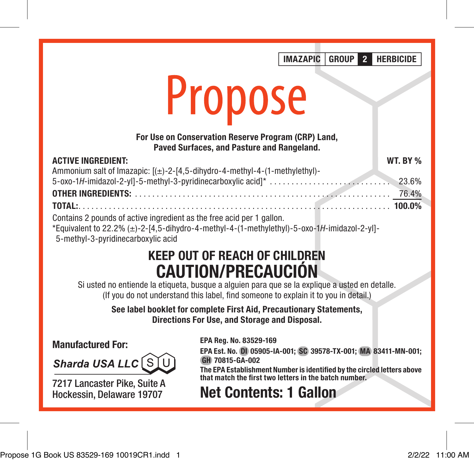IMAZAPIC GROUP 2 HERBICIDE

# Propose

#### For Use on Conservation Reserve Program (CRP) Land, Paved Surfaces, and Pasture and Rangeland.

| <b>ACTIVE INGREDIENT:</b>                                                                   | <b>WT. BY %</b> |
|---------------------------------------------------------------------------------------------|-----------------|
| Ammonium salt of Imazapic: [(±)-2-[4,5-dihydro-4-methyl-4-(1-methylethyl)-                  |                 |
|                                                                                             |                 |
|                                                                                             |                 |
|                                                                                             |                 |
| Contains 2 pounds of active ingredient as the free acid per 1 gallon.                       |                 |
| *Equivalent to 22.2% (±)-2-[4,5-dihydro-4-methyl-4-(1-methylethyl)-5-oxo-1H-imidazol-2-yl]- |                 |
|                                                                                             |                 |

5-methyl-3-pyridinecarboxylic acid

## KEEP OUT OF REACH OF CHILDREN CAUTION/PRECAUCIÓN

Si usted no entiende la etiqueta, busque a alguien para que se la explique a usted en detalle. (If you do not understand this label, find someone to explain it to you in detail.)

> See label booklet for complete First Aid, Precautionary Statements, Directions For Use, and Storage and Disposal.

Manufactured For:

Sharda USA LLC SI

7217 Lancaster Pike, Suite A Hockessin, Delaware 19707

EPA Reg. No. 83529-169

EPA Est. No. DI 05905-IA-001; SC 39578-TX-001; MA 83411-MN-001; GH 70815-GA-002

The EPA Establishment Number is identified by the circled letters above that match the first two letters in the batch number.

Net Contents: 1 Gallon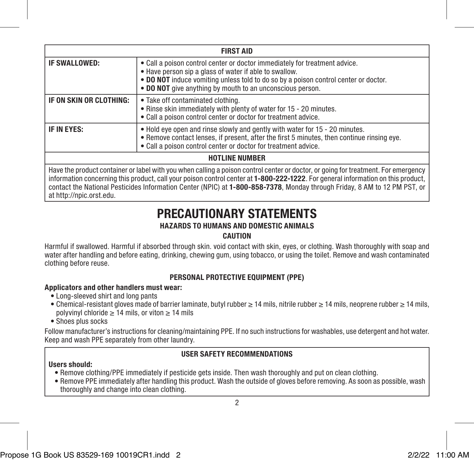| <b>FIRST AID</b>        |                                                                                                                                                                                                                                                                                          |  |  |
|-------------------------|------------------------------------------------------------------------------------------------------------------------------------------------------------------------------------------------------------------------------------------------------------------------------------------|--|--|
| IF SWALLOWED:           | • Call a poison control center or doctor immediately for treatment advice.<br>• Have person sip a glass of water if able to swallow.<br>. DO NOT induce vomiting unless told to do so by a poison control center or doctor.<br>• DO NOT give anything by mouth to an unconscious person. |  |  |
| IF ON SKIN OR CLOTHING: | • Take off contaminated clothing.<br>. Rinse skin immediately with plenty of water for 15 - 20 minutes.<br>• Call a poison control center or doctor for treatment advice.                                                                                                                |  |  |
| IF IN EYES:             | . Hold eye open and rinse slowly and gently with water for 15 - 20 minutes.<br>. Remove contact lenses, if present, after the first 5 minutes, then continue rinsing eye.<br>• Call a poison control center or doctor for treatment advice.                                              |  |  |
| <b>HOTLINE NUMBER</b>   |                                                                                                                                                                                                                                                                                          |  |  |

Have the product container or label with you when calling a poison control center or doctor, or going for treatment. For emergency information concerning this product, call your poison control center at 1-800-222-1222. For general information on this product, contact the National Pesticides Information Center (NPIC) at 1-800-858-7378, Monday through Friday, 8 AM to 12 PM PST, or at http://npic.orst.edu.

### PRECAUTIONARY STATEMENTS

#### HAZARDS TO HUMANS AND DOMESTIC ANIMALS

#### CAUTION

Harmful if swallowed. Harmful if absorbed through skin. void contact with skin, eyes, or clothing. Wash thoroughly with soap and water after handling and before eating, drinking, chewing gum, using tobacco, or using the toilet. Remove and wash contaminated clothing before reuse.

#### PERSONAL PROTECTIVE EQUIPMENT (PPE)

#### Applicators and other handlers must wear:

- Long-sleeved shirt and long pants
- Chemical-resistant gloves made of barrier laminate, butyl rubber ≥ 14 mils, nitrile rubber ≥ 14 mils, neoprene rubber ≥ 14 mils, polyvinyl chloride  $\geq 14$  mils, or viton  $\geq 14$  mils
- Shoes plus socks

Follow manufacturer's instructions for cleaning/maintaining PPE. If no such instructions for washables, use detergent and hot water. Keep and wash PPE separately from other laundry.

#### USER SAFETY RECOMMENDATIONS

#### Users should:

- Remove clothing/PPE immediately if pesticide gets inside. Then wash thoroughly and put on clean clothing.
- Remove PPE immediately after handling this product. Wash the outside of gloves before removing. As soon as possible, wash thoroughly and change into clean clothing.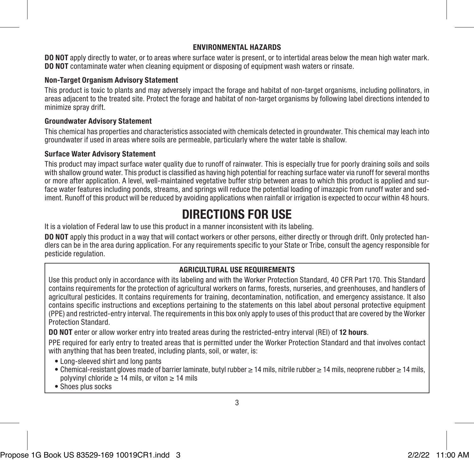#### ENVIRONMENTAL HAZARDS

DO NOT apply directly to water, or to areas where surface water is present, or to intertidal areas below the mean high water mark. DO NOT contaminate water when cleaning equipment or disposing of equipment wash waters or rinsate.

#### Non-Target Organism Advisory Statement

This product is toxic to plants and may adversely impact the forage and habitat of non-target organisms, including pollinators, in areas adjacent to the treated site. Protect the forage and habitat of non-target organisms by following label directions intended to minimize spray drift.

#### Groundwater Advisory Statement

This chemical has properties and characteristics associated with chemicals detected in groundwater. This chemical may leach into groundwater if used in areas where soils are permeable, particularly where the water table is shallow.

#### Surface Water Advisory Statement

This product may impact surface water quality due to runoff of rainwater. This is especially true for poorly draining soils and soils with shallow ground water. This product is classified as having high potential for reaching surface water via runoff for several months or more after application. A level, well-maintained vegetative buffer strip between areas to which this product is applied and surface water features including ponds, streams, and springs will reduce the potential loading of imazapic from runoff water and sediment. Runoff of this product will be reduced by avoiding applications when rainfall or irrigation is expected to occur within 48 hours.

## DIRECTIONS FOR USE

It is a violation of Federal law to use this product in a manner inconsistent with its labeling.

DO NOT apply this product in a way that will contact workers or other persons, either directly or through drift. Only protected handlers can be in the area during application. For any requirements specific to your State or Tribe, consult the agency responsible for pesticide regulation.

#### AGRICULTURAL USE REQUIREMENTS

Use this product only in accordance with its labeling and with the Worker Protection Standard, 40 CFR Part 170. This Standard contains requirements for the protection of agricultural workers on farms, forests, nurseries, and greenhouses, and handlers of agricultural pesticides. It contains requirements for training, decontamination, notification, and emergency assistance. It also contains specific instructions and exceptions pertaining to the statements on this label about personal protective equipment (PPE) and restricted-entry interval. The requirements in this box only apply to uses of this product that are covered by the Worker Protection Standard.

DO NOT enter or allow worker entry into treated areas during the restricted-entry interval (REI) of 12 hours.

PPE required for early entry to treated areas that is permitted under the Worker Protection Standard and that involves contact with anything that has been treated, including plants, soil, or water, is:

- Long-sleeved shirt and long pants
- Chemical-resistant gloves made of barrier laminate, butyl rubber ≥ 14 mils, nitrile rubber ≥ 14 mils, neoprene rubber ≥ 14 mils, polyvinyl chloride  $\geq 14$  mils, or viton  $\geq 14$  mils
- Shoes plus socks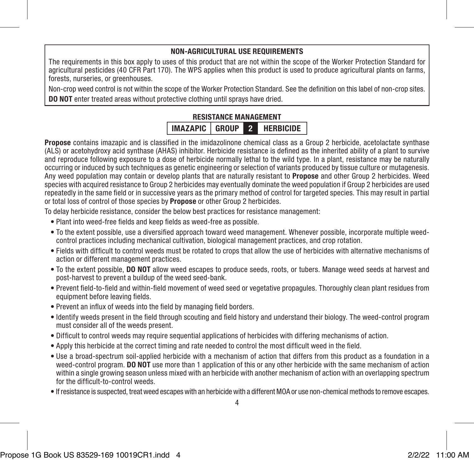#### NON-AGRICULTURAL USE REQUIREMENTS

The requirements in this box apply to uses of this product that are not within the scope of the Worker Protection Standard for agricultural pesticides (40 CFR Part 170). The WPS applies when this product is used to produce agricultural plants on farms, forests, nurseries, or greenhouses.

Non-crop weed control is not within the scope of the Worker Protection Standard. See the definition on this label of non-crop sites. DO NOT enter treated areas without protective clothing until sprays have dried.

#### RESISTANCE MANAGEMENT IMAZAPIC GROUP 2 HERBICIDE

Propose contains imazapic and is classified in the imidazolinone chemical class as a Group 2 herbicide, acetolactate synthase (ALS) or acetohydroxy acid synthase (AHAS) inhibitor. Herbicide resistance is defined as the inherited ability of a plant to survive and reproduce following exposure to a dose of herbicide normally lethal to the wild type. In a plant, resistance may be naturally occurring or induced by such techniques as genetic engineering or selection of variants produced by tissue culture or mutagenesis. Any weed population may contain or develop plants that are naturally resistant to Propose and other Group 2 herbicides. Weed species with acquired resistance to Group 2 herbicides may eventually dominate the weed population if Group 2 herbicides are used repeatedly in the same field or in successive years as the primary method of control for targeted species. This may result in partial or total loss of control of those species by Propose or other Group 2 herbicides.

To delay herbicide resistance, consider the below best practices for resistance management:

- Plant into weed-free fields and keep fields as weed-free as possible.
- To the extent possible, use a diversified approach toward weed management. Whenever possible, incorporate multiple weedcontrol practices including mechanical cultivation, biological management practices, and crop rotation.
- Fields with difficult to control weeds must be rotated to crops that allow the use of herbicides with alternative mechanisms of action or different management practices.
- To the extent possible, DO NOT allow weed escapes to produce seeds, roots, or tubers. Manage weed seeds at harvest and post-harvest to prevent a buildup of the weed seed-bank.
- Prevent field-to-field and within-field movement of weed seed or vegetative propagules. Thoroughly clean plant residues from equipment before leaving fields.
- Prevent an influx of weeds into the field by managing field borders.
- Identify weeds present in the field through scouting and field history and understand their biology. The weed-control program must consider all of the weeds present.
- Difficult to control weeds may require sequential applications of herbicides with differing mechanisms of action.
- Apply this herbicide at the correct timing and rate needed to control the most difficult weed in the field.
- Use a broad-spectrum soil-applied herbicide with a mechanism of action that differs from this product as a foundation in a weed-control program. DO NOT use more than 1 application of this or any other herbicide with the same mechanism of action within a single growing season unless mixed with an herbicide with another mechanism of action with an overlapping spectrum for the difficult-to-control weeds.
- If resistance is suspected, treat weed escapes with an herbicide with a different MOA or use non-chemical methods to remove escapes.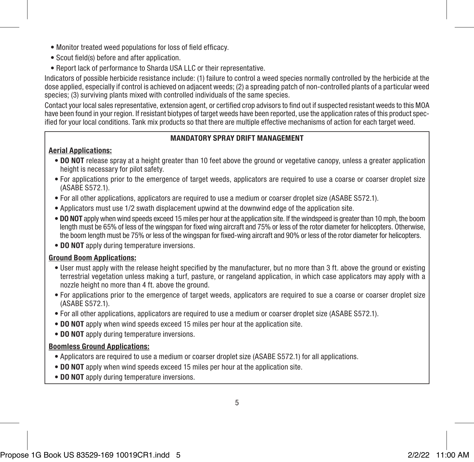- Monitor treated weed populations for loss of field efficacy.
- Scout field(s) before and after application.
- Report lack of performance to Sharda USA LLC or their representative.

Indicators of possible herbicide resistance include: (1) failure to control a weed species normally controlled by the herbicide at the dose applied, especially if control is achieved on adjacent weeds; (2) a spreading patch of non-controlled plants of a particular weed species; (3) surviving plants mixed with controlled individuals of the same species.

Contact your local sales representative, extension agent, or certified crop advisors to find out if suspected resistant weeds to this MOA have been found in your region. If resistant biotypes of target weeds have been reported, use the application rates of this product specified for your local conditions. Tank mix products so that there are multiple effective mechanisms of action for each target weed.

#### MANDATORY SPRAY DRIFT MANAGEMENT

#### Aerial Applications:

- DO NOT release spray at a height greater than 10 feet above the ground or vegetative canopy, unless a greater application height is necessary for pilot safety.
- For applications prior to the emergence of target weeds, applicators are required to use a coarse or coarser droplet size (ASABE S572.1).
- For all other applications, applicators are required to use a medium or coarser droplet size (ASABE S572.1).
- Applicators must use 1/2 swath displacement upwind at the downwind edge of the application site.
- DO NOT apply when wind speeds exceed 15 miles per hour at the application site. If the windspeed is greater than 10 mph, the boom length must be 65% of less of the wingspan for fixed wing aircraft and 75% or less of the rotor diameter for helicopters. Otherwise, the boom length must be 75% or less of the wingspan for fixed-wing aircraft and 90% or less of the rotor diameter for helicopters.
- DO NOT apply during temperature inversions.

#### Ground Boom Applications:

- User must apply with the release height specified by the manufacturer, but no more than 3 ft. above the ground or existing terrestrial vegetation unless making a turf, pasture, or rangeland application, in which case applicators may apply with a nozzle height no more than 4 ft. above the ground.
- For applications prior to the emergence of target weeds, applicators are required to sue a coarse or coarser droplet size (ASABE S572.1).
- For all other applications, applicators are required to use a medium or coarser droplet size (ASABE S572.1).
- DO NOT apply when wind speeds exceed 15 miles per hour at the application site.
- DO NOT apply during temperature inversions.

#### Boomless Ground Applications:

- Applicators are required to use a medium or coarser droplet size (ASABE S572.1) for all applications.
- DO NOT apply when wind speeds exceed 15 miles per hour at the application site.
- DO NOT apply during temperature inversions.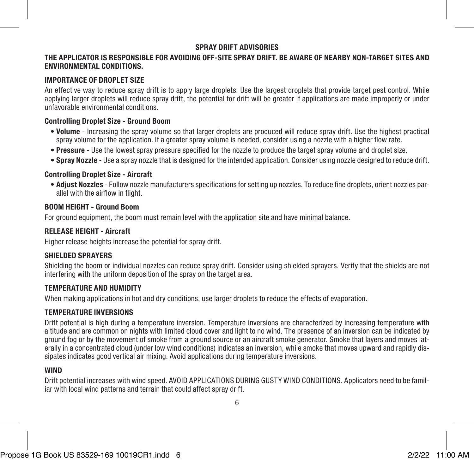#### SPRAY DRIFT ADVISORIES

#### THE APPLICATOR IS RESPONSIBLE FOR AVOIDING OFF-SITE SPRAY DRIFT. BE AWARE OF NEARBY NON-TARGET SITES AND ENVIRONMENTAL CONDITIONS.

#### IMPORTANCE OF DROPLET SIZE

An effective way to reduce spray drift is to apply large droplets. Use the largest droplets that provide target pest control. While applying larger droplets will reduce spray drift, the potential for drift will be greater if applications are made improperly or under unfavorable environmental conditions.

#### Controlling Droplet Size - Ground Boom

- Volume Increasing the spray volume so that larger droplets are produced will reduce spray drift. Use the highest practical spray volume for the application. If a greater spray volume is needed, consider using a nozzle with a higher flow rate.
- Pressure Use the lowest spray pressure specified for the nozzle to produce the target spray volume and droplet size.
- Spray Nozzle Use a spray nozzle that is designed for the intended application. Consider using nozzle designed to reduce drift.

#### Controlling Droplet Size - Aircraft

• Adjust Nozzles - Follow nozzle manufacturers specifications for setting up nozzles. To reduce fine droplets, orient nozzles parallel with the airflow in flight.

#### BOOM HEIGHT - Ground Boom

For ground equipment, the boom must remain level with the application site and have minimal balance.

#### RELEASE HEIGHT - Aircraft

Higher release heights increase the potential for spray drift.

#### SHIELDED SPRAYERS

Shielding the boom or individual nozzles can reduce spray drift. Consider using shielded sprayers. Verify that the shields are not interfering with the uniform deposition of the spray on the target area.

#### TEMPERATURE AND HUMIDITY

When making applications in hot and dry conditions, use larger droplets to reduce the effects of evaporation.

#### TEMPERATURE INVERSIONS

Drift potential is high during a temperature inversion. Temperature inversions are characterized by increasing temperature with altitude and are common on nights with limited cloud cover and light to no wind. The presence of an inversion can be indicated by ground fog or by the movement of smoke from a ground source or an aircraft smoke generator. Smoke that layers and moves laterally in a concentrated cloud (under low wind conditions) indicates an inversion, while smoke that moves upward and rapidly dissipates indicates good vertical air mixing. Avoid applications during temperature inversions.

#### WIND

Drift potential increases with wind speed. AVOID APPLICATIONS DURING GUSTY WIND CONDITIONS. Applicators need to be familiar with local wind patterns and terrain that could affect spray drift.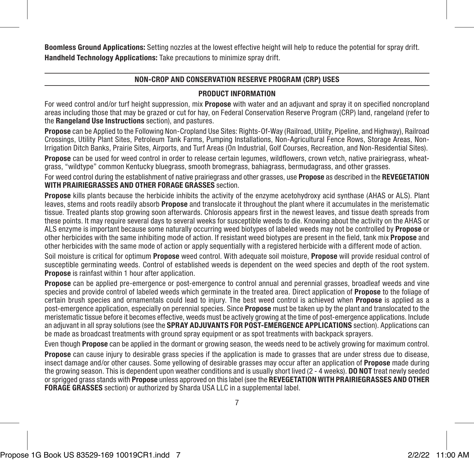Boomless Ground Applications: Setting nozzles at the lowest effective height will help to reduce the potential for spray drift. Handheld Technology Applications: Take precautions to minimize spray drift.

#### NON-CROP AND CONSERVATION RESERVE PROGRAM (CRP) USES

#### PRODUCT INFORMATION

For weed control and/or turf height suppression, mix **Propose** with water and an adjuvant and spray it on specified noncropland areas including those that may be grazed or cut for hay, on Federal Conservation Reserve Program (CRP) land, rangeland (refer to the Rangeland Use Instructions section), and pastures.

Propose can be Applied to the Following Non-Cropland Use Sites: Rights-Of-Way (Railroad, Utility, Pipeline, and Highway), Railroad Crossings, Utility Plant Sites, Petroleum Tank Farms, Pumping Installations, Non-Agricultural Fence Rows, Storage Areas, Non-Irrigation Ditch Banks, Prairie Sites, Airports, and Turf Areas (On Industrial, Golf Courses, Recreation, and Non-Residential Sites).

Propose can be used for weed control in order to release certain legumes, wildflowers, crown vetch, native prairiegrass, wheatgrass, "wildtype" common Kentucky bluegrass, smooth bromegrass, bahiagrass, bermudagrass, and other grasses.

For weed control during the establishment of native prairiegrass and other grasses, use **Propose** as described in the REVEGETATION WITH PRAIRIFGRASSES AND OTHER FORAGE GRASSES section

Propose kills plants because the herbicide inhibits the activity of the enzyme acetohydroxy acid synthase (AHAS or ALS). Plant leaves, stems and roots readily absorb **Propose** and translocate it throughout the plant where it accumulates in the meristematic tissue. Treated plants stop growing soon afterwards. Chlorosis appears first in the newest leaves, and tissue death spreads from these points. It may require several days to several weeks for susceptible weeds to die. Knowing about the activity on the AHAS or ALS enzyme is important because some naturally occurring weed biotypes of labeled weeds may not be controlled by **Propose** or other herbicides with the same inhibiting mode of action. If resistant weed biotypes are present in the field, tank mix Propose and other herbicides with the same mode of action or apply sequentially with a registered herbicide with a different mode of action.

Soil moisture is critical for optimum **Propose** weed control. With adequate soil moisture. **Propose** will provide residual control of susceptible germinating weeds. Control of established weeds is dependent on the weed species and depth of the root system. Propose is rainfast within 1 hour after application.

Propose can be applied pre-emergence or post-emergence to control annual and perennial grasses, broadleaf weeds and vine species and provide control of labeled weeds which germinate in the treated area. Direct application of **Propose** to the foliage of certain brush species and ornamentals could lead to injury. The best weed control is achieved when Propose is applied as a post-emergence application, especially on perennial species. Since **Propose** must be taken up by the plant and translocated to the meristematic tissue before it becomes effective, weeds must be actively growing at the time of post-emergence applications. Include an adjuvant in all spray solutions (see the SPRAY ADJUVANTS FOR POST-EMERGENCE APPLICATIONS section). Applications can be made as broadcast treatments with ground spray equipment or as spot treatments with backpack sprayers.

Even though **Propose** can be applied in the dormant or growing season, the weeds need to be actively growing for maximum control.

Propose can cause injury to desirable grass species if the application is made to grasses that are under stress due to disease. insect damage and/or other causes. Some yellowing of desirable grasses may occur after an application of Propose made during the growing season. This is dependent upon weather conditions and is usually short lived (2 - 4 weeks). **DO NOT** treat newly seeded or sprigged grass stands with Propose unless approved on this label (see the REVEGETATION WITH PRAIRIEGRASSES AND OTHER FORAGE GRASSES section) or authorized by Sharda USA LLC in a supplemental label.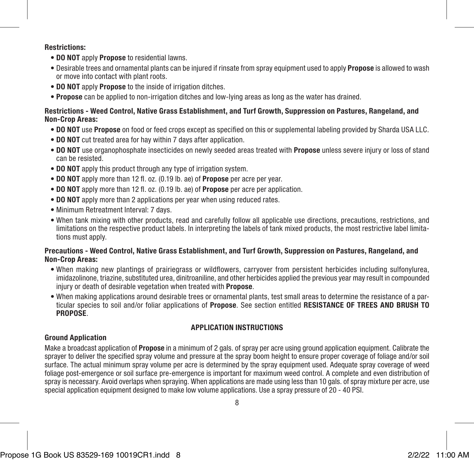#### Restrictions:

- DO NOT apply Propose to residential lawns.
- Desirable trees and ornamental plants can be injured if rinsate from spray equipment used to apply Propose is allowed to wash or move into contact with plant roots.
- DO NOT apply Propose to the inside of irrigation ditches.
- Propose can be applied to non-irrigation ditches and low-lying areas as long as the water has drained.

#### Restrictions - Weed Control, Native Grass Establishment, and Turf Growth, Suppression on Pastures, Rangeland, and Non-Crop Areas:

- DO NOT use Propose on food or feed crops except as specified on this or supplemental labeling provided by Sharda USA LLC.
- DO NOT cut treated area for hay within 7 days after application.
- DO NOT use organophosphate insecticides on newly seeded areas treated with Propose unless severe injury or loss of stand can be resisted.
- DO NOT apply this product through any type of irrigation system.
- DO NOT apply more than 12 fl. oz. (0.19 lb. ae) of Propose per acre per year.
- DO NOT apply more than 12 fl. oz. (0.19 lb. ae) of Propose per acre per application.
- DO NOT apply more than 2 applications per year when using reduced rates.
- Minimum Retreatment Interval: 7 days.
- When tank mixing with other products, read and carefully follow all applicable use directions, precautions, restrictions, and limitations on the respective product labels. In interpreting the labels of tank mixed products, the most restrictive label limitations must apply.

#### Precautions - Weed Control, Native Grass Establishment, and Turf Growth, Suppression on Pastures, Rangeland, and Non-Crop Areas:

- When making new plantings of prairiegrass or wildflowers, carryover from persistent herbicides including sulfonylurea, imidazolinone, triazine, substituted urea, dinitroaniline, and other herbicides applied the previous year may result in compounded injury or death of desirable vegetation when treated with **Propose**.
- When making applications around desirable trees or ornamental plants, test small areas to determine the resistance of a particular species to soil and/or foliar applications of **Propose**. See section entitled RESISTANCE OF TREES AND BRUSH TO PROPOSE.

#### APPLICATION INSTRUCTIONS

#### Ground Application

Make a broadcast application of **Propose** in a minimum of 2 gals. of spray per acre using ground application equipment. Calibrate the sprayer to deliver the specified spray volume and pressure at the spray boom height to ensure proper coverage of foliage and/or soil surface. The actual minimum spray volume per acre is determined by the spray equipment used. Adequate spray coverage of weed foliage post-emergence or soil surface pre-emergence is important for maximum weed control. A complete and even distribution of spray is necessary. Avoid overlaps when spraying. When applications are made using less than 10 gals. of spray mixture per acre, use special application equipment designed to make low volume applications. Use a spray pressure of 20 - 40 PSI.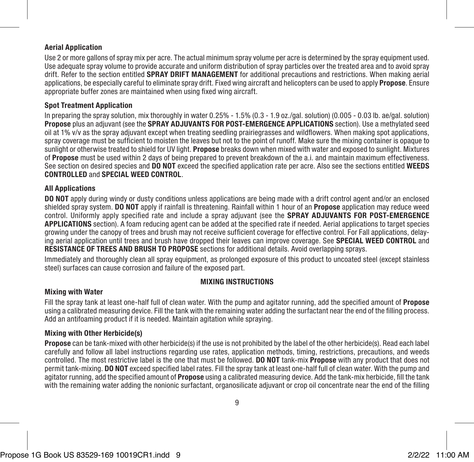#### Aerial Application

Use 2 or more gallons of spray mix per acre. The actual minimum spray volume per acre is determined by the spray equipment used. Use adequate spray volume to provide accurate and uniform distribution of spray particles over the treated area and to avoid spray drift. Refer to the section entitled SPRAY DRIFT MANAGEMENT for additional precautions and restrictions. When making aerial applications, be especially careful to eliminate spray drift. Fixed wing aircraft and helicopters can be used to apply **Propose**. Ensure appropriate buffer zones are maintained when using fixed wing aircraft.

#### Spot Treatment Application

In preparing the spray solution, mix thoroughly in water 0.25% - 1.5% (0.3 - 1.9 oz./gal. solution) (0.005 - 0.03 lb. ae/gal. solution) Propose plus an adjuvant (see the SPRAY ADJUVANTS FOR POST-EMERGENCE APPLICATIONS section). Use a methylated seed oil at 1% v/v as the spray adjuvant except when treating seedling prairiegrasses and wildflowers. When making spot applications, spray coverage must be sufficient to moisten the leaves but not to the point of runoff. Make sure the mixing container is opaque to sunlight or otherwise treated to shield for UV light. Propose breaks down when mixed with water and exposed to sunlight. Mixtures of **Propose** must be used within 2 days of being prepared to prevent breakdown of the a.i. and maintain maximum effectiveness. See section on desired species and DO NOT exceed the specified application rate per acre. Also see the sections entitled WEEDS CONTROLLED and SPECIAL WEED CONTROL.

#### All Applications

DO NOT apply during windy or dusty conditions unless applications are being made with a drift control agent and/or an enclosed shielded spray system. DO NOT apply if rainfall is threatening. Rainfall within 1 hour of an **Propose** application may reduce weed control. Uniformly apply specified rate and include a spray adjuvant (see the **SPRAY ADJUVANTS FOR POST-EMERGENCE** APPLICATIONS section). A foam reducing agent can be added at the specified rate if needed. Aerial applications to target species growing under the canopy of trees and brush may not receive sufficient coverage for effective control. For Fall applications, delaying aerial application until trees and brush have dropped their leaves can improve coverage. See SPECIAL WEED CONTROL and RESISTANCE OF TREES AND BRUSH TO PROPOSE sections for additional details. Avoid overlapping sprays.

Immediately and thoroughly clean all spray equipment, as prolonged exposure of this product to uncoated steel (except stainless steel) surfaces can cause corrosion and failure of the exposed part.

#### MIXING INSTRUCTIONS

#### Mixing with Water

Fill the spray tank at least one-half full of clean water. With the pump and agitator running, add the specified amount of **Propose** using a calibrated measuring device. Fill the tank with the remaining water adding the surfactant near the end of the filling process. Add an antifoaming product if it is needed. Maintain agitation while spraying.

#### Mixing with Other Herbicide(s)

Propose can be tank-mixed with other herbicide(s) if the use is not prohibited by the label of the other herbicide(s). Read each label carefully and follow all label instructions regarding use rates, application methods, timing, restrictions, precautions, and weeds controlled. The most restrictive label is the one that must be followed. DO NOT tank-mix Propose with any product that does not permit tank-mixing. DO NOT exceed specified label rates. Fill the spray tank at least one-half full of clean water. With the pump and agitator running, add the specified amount of **Propose** using a calibrated measuring device. Add the tank-mix herbicide, fill the tank with the remaining water adding the nonionic surfactant, organosilicate adjuvant or crop oil concentrate near the end of the filling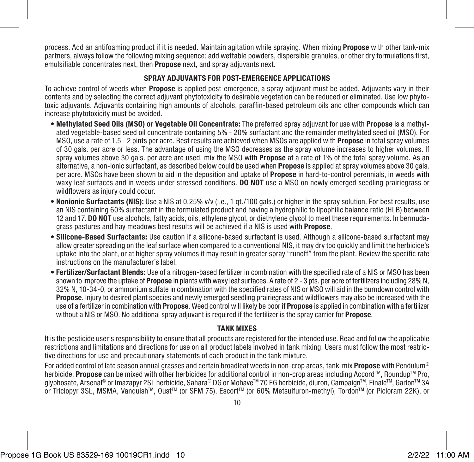process. Add an antifoaming product if it is needed. Maintain agitation while spraying. When mixing **Propose** with other tank-mix partners, always follow the following mixing sequence: add wettable powders, dispersible granules, or other dry formulations first, emulsifiable concentrates next, then **Propose** next, and spray adjuvants next.

#### SPRAY ADJUVANTS FOR POST-EMERGENCE APPLICATIONS

To achieve control of weeds when **Propose** is applied post-emergence, a spray adjuvant must be added. Adjuvants vary in their contents and by selecting the correct adjuvant phytotoxicity to desirable vegetation can be reduced or eliminated. Use low phytotoxic adjuvants. Adjuvants containing high amounts of alcohols, paraffin-based petroleum oils and other compounds which can increase phytotoxicity must be avoided.

- Methylated Seed Oils (MSO) or Vegetable Oil Concentrate: The preferred spray adjuvant for use with Propose is a methylated vegetable-based seed oil concentrate containing 5% - 20% surfactant and the remainder methylated seed oil (MSO). For MSO, use a rate of 1.5 - 2 pints per acre. Best results are achieved when MSOs are applied with Propose in total spray volumes of 30 gals. per acre or less. The advantage of using the MSO decreases as the spray volume increases to higher volumes. If spray volumes above 30 gals, per acre are used, mix the MSO with **Propose** at a rate of 1% of the total spray volume. As an alternative, a non-ionic surfactant, as described below could be used when Propose is applied at spray volumes above 30 gals. per acre. MSOs have been shown to aid in the deposition and uptake of **Propose** in hard-to-control perennials, in weeds with waxy leaf surfaces and in weeds under stressed conditions. DO NOT use a MSO on newly emerged seedling prairiegrass or wildflowers as injury could occur.
- Nonionic Surfactants (NIS): Use a NIS at 0.25% v/v (i.e., 1 qt./100 gals.) or higher in the spray solution. For best results, use an NIS containing 60% surfactant in the formulated product and having a hydrophilic to lipophilic balance ratio (HLB) between 12 and 17. DO NOT use alcohols, fatty acids, oils, ethylene glycol, or diethylene glycol to meet these requirements. In bermudagrass pastures and hay meadows best results will be achieved if a NIS is used with Propose.
- Silicone-Based Surfactants: Use caution if a silicone-based surfactant is used. Although a silicone-based surfactant may allow greater spreading on the leaf surface when compared to a conventional NIS, it may dry too quickly and limit the herbicide's uptake into the plant, or at higher spray volumes it may result in greater spray "runoff" from the plant. Review the specific rate instructions on the manufacturer's label.
- Fertilizer/Surfactant Blends: Use of a nitrogen-based fertilizer in combination with the specified rate of a NIS or MSO has been shown to improve the uptake of **Propose** in plants with waxy leaf surfaces. A rate of 2 - 3 pts. per acre of fertilizers including 28% N, 32% N, 10-34-0, or ammonium sulfate in combination with the specified rates of NIS or MSO will aid in the burndown control with Propose. Injury to desired plant species and newly emerged seedling prairiegrass and wildflowers may also be increased with the use of a fertilizer in combination with Propose. Weed control will likely be poor if Propose is applied in combination with a fertilizer without a NIS or MSO. No additional spray adjuvant is required if the fertilizer is the spray carrier for **Propose**.

#### TANK MIXES

It is the pesticide user's responsibility to ensure that all products are registered for the intended use. Read and follow the applicable restrictions and limitations and directions for use on all product labels involved in tank mixing. Users must follow the most restrictive directions for use and precautionary statements of each product in the tank mixture.

For added control of late season annual grasses and certain broadleaf weeds in non-crop areas, tank-mix **Propose** with Pendulum<sup>®</sup> herbicide. Propose can be mixed with other herbicides for additional control in non-crop areas including Accord™, Roundup™ Pro, glyphosate, Arsenal® or Imazapyr 2SL herbicide, Sahara® DG or Mohave™ 70 EG herbicide, diuron, Campaign™, Finale™, Garlon™ 3A or Triclopyr 3SL, MSMA, Vanquish™, Oust™ (or SFM 75), Escort™ (or 60% Metsulfuron-methyl), Tordon™ (or Picloram 22K), or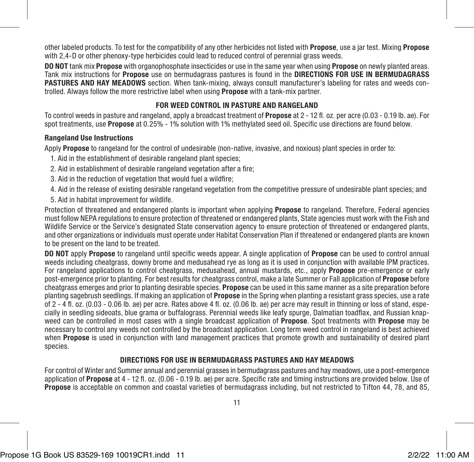other labeled products. To test for the compatibility of any other herbicides not listed with Propose, use a jar test. Mixing Propose with 2,4-D or other phenoxy-type herbicides could lead to reduced control of perennial grass weeds.

DO NOT tank mix Propose with organophosphate insecticides or use in the same year when using Propose on newly planted areas. Tank mix instructions for Propose use on bermudagrass pastures is found in the DIRECTIONS FOR USE IN BERMUDAGRASS PASTURES AND HAY MEADOWS section. When tank-mixing, always consult manufacturer's labeling for rates and weeds controlled. Always follow the more restrictive label when using Propose with a tank-mix partner.

#### FOR WEED CONTROL IN PASTURE AND RANGELAND

To control weeds in pasture and rangeland, apply a broadcast treatment of **Propose** at 2 - 12 fl. oz. per acre (0.03 - 0.19 lb. ae). For spot treatments, use Propose at 0.25% - 1% solution with 1% methylated seed oil. Specific use directions are found below.

#### Rangeland Use Instructions

Apply Propose to rangeland for the control of undesirable (non-native, invasive, and noxious) plant species in order to:

- 1. Aid in the establishment of desirable rangeland plant species;
- 2. Aid in establishment of desirable rangeland vegetation after a fire;
- 3. Aid in the reduction of vegetation that would fuel a wildfire;
- 4. Aid in the release of existing desirable rangeland vegetation from the competitive pressure of undesirable plant species; and
- 5. Aid in habitat improvement for wildlife.

Protection of threatened and endangered plants is important when applying **Propose** to rangeland. Therefore, Federal agencies must follow NEPA regulations to ensure protection of threatened or endangered plants, State agencies must work with the Fish and Wildlife Service or the Service's designated State conservation agency to ensure protection of threatened or endangered plants, and other organizations or individuals must operate under Habitat Conservation Plan if threatened or endangered plants are known to be present on the land to be treated.

DO NOT apply Propose to rangeland until specific weeds appear. A single application of Propose can be used to control annual weeds including cheatgrass, downy brome and medusahead rye as long as it is used in conjunction with available IPM practices. For rangeland applications to control cheatgrass, medusahead, annual mustards, etc., apply **Propose** pre-emergence or early post-emergence prior to planting. For best results for cheatgrass control, make a late Summer or Fall application of **Propose** before cheatgrass emerges and prior to planting desirable species. Propose can be used in this same manner as a site preparation before planting sagebrush seedlings. If making an application of **Propose** in the Spring when planting a resistant grass species, use a rate of 2 - 4 fl. oz. (0.03 - 0.06 lb. ae) per acre. Rates above 4 fl. oz. (0.06 lb. ae) per acre may result in thinning or loss of stand, especially in seedling sideoats, blue grama or buffalograss. Perennial weeds like leafy spurge, Dalmatian toadflax, and Russian knapweed can be controlled in most cases with a single broadcast application of **Propose**. Spot treatments with **Propose** may be necessary to control any weeds not controlled by the broadcast application. Long term weed control in rangeland is best achieved when **Propose** is used in conjunction with land management practices that promote growth and sustainability of desired plant species.

#### DIRECTIONS FOR USE IN BERMUDAGRASS PASTURES AND HAY MEADOWS

For control of Winter and Summer annual and perennial grasses in bermudagrass pastures and hay meadows, use a post-emergence application of Propose at 4 - 12 fl. oz. (0.06 - 0.19 lb. ae) per acre. Specific rate and timing instructions are provided below. Use of Propose is acceptable on common and coastal varieties of bermudagrass including, but not restricted to Tifton 44, 78, and 85,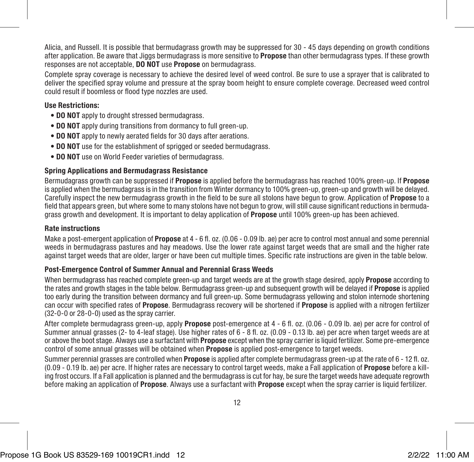Alicia, and Russell. It is possible that bermudagrass growth may be suppressed for 30 - 45 days depending on growth conditions after application. Be aware that Jiggs bermudagrass is more sensitive to **Propose** than other bermudagrass types. If these growth responses are not acceptable. DO NOT use Propose on bermudagrass.

Complete spray coverage is necessary to achieve the desired level of weed control. Be sure to use a sprayer that is calibrated to deliver the specified spray volume and pressure at the spray boom height to ensure complete coverage. Decreased weed control could result if boomless or flood type nozzles are used.

#### Use Restrictions:

- DO NOT apply to drought stressed bermudagrass.
- DO NOT apply during transitions from dormancy to full green-up.
- DO NOT apply to newly aerated fields for 30 days after aerations.
- DO NOT use for the establishment of sprigged or seeded bermudagrass.
- DO NOT use on World Feeder varieties of bermudagrass.

#### Spring Applications and Bermudagrass Resistance

Bermudagrass growth can be suppressed if **Propose** is applied before the bermudagrass has reached 100% green-up. If **Propose** is applied when the bermudagrass is in the transition from Winter dormancy to 100% green-up, green-up and growth will be delayed. Carefully inspect the new bermudagrass growth in the field to be sure all stolons have begun to grow. Application of Propose to a field that appears green, but where some to many stolons have not begun to grow, will still cause significant reductions in bermudagrass growth and development. It is important to delay application of Propose until 100% green-up has been achieved.

#### Rate instructions

Make a post-emergent application of **Propose** at 4 - 6 fl. oz. (0.06 - 0.09 lb. ae) per acre to control most annual and some perennial weeds in bermudagrass pastures and hay meadows. Use the lower rate against target weeds that are small and the higher rate against target weeds that are older, larger or have been cut multiple times. Specific rate instructions are given in the table below.

#### Post-Emergence Control of Summer Annual and Perennial Grass Weeds

When bermudagrass has reached complete green-up and target weeds are at the growth stage desired, apply **Propose** according to the rates and growth stages in the table below. Bermudagrass green-up and subsequent growth will be delayed if **Propose** is applied too early during the transition between dormancy and full green-up. Some bermudagrass yellowing and stolon internode shortening can occur with specified rates of **Propose**. Bermudagrass recovery will be shortened if **Propose** is applied with a nitrogen fertilizer (32-0-0 or 28-0-0) used as the spray carrier.

After complete bermudagrass green-up, apply **Propose** post-emergence at 4 - 6 fl. oz. (0.06 - 0.09 lb. ae) per acre for control of Summer annual grasses (2- to 4-leaf stage). Use higher rates of 6 - 8 fl. oz. (0.09 - 0.13 lb. ae) per acre when target weeds are at or above the boot stage. Always use a surfactant with **Propose** except when the spray carrier is liquid fertilizer. Some pre-emergence control of some annual grasses will be obtained when **Propose** is applied post-emergence to target weeds.

Summer perennial grasses are controlled when **Propose** is applied after complete bermudagrass green-up at the rate of 6 - 12 fl. oz. (0.09 - 0.19 lb. ae) per acre. If higher rates are necessary to control target weeds, make a Fall application of Propose before a killing frost occurs. If a Fall application is planned and the bermudagrass is cut for hay, be sure the target weeds have adequate regrowth before making an application of **Propose**. Always use a surfactant with **Propose** except when the spray carrier is liquid fertilizer.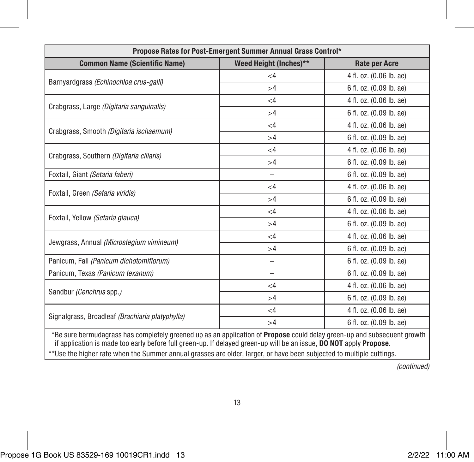| Propose Rates for Post-Emergent Summer Annual Grass Control*                                                                                                                                                                                                                                                                                                                 |          |                         |  |  |  |
|------------------------------------------------------------------------------------------------------------------------------------------------------------------------------------------------------------------------------------------------------------------------------------------------------------------------------------------------------------------------------|----------|-------------------------|--|--|--|
| Weed Height (Inches)**<br><b>Common Name (Scientific Name)</b><br><b>Rate per Acre</b>                                                                                                                                                                                                                                                                                       |          |                         |  |  |  |
|                                                                                                                                                                                                                                                                                                                                                                              | $\leq$ 4 | 4 fl. oz. (0.06 lb. ae) |  |  |  |
| Barnyardgrass (Echinochloa crus-galli)                                                                                                                                                                                                                                                                                                                                       | >4       | 6 fl. oz. (0.09 lb. ae) |  |  |  |
| Crabgrass, Large (Digitaria sanguinalis)                                                                                                                                                                                                                                                                                                                                     | $\leq$ 4 | 4 fl. oz. (0.06 lb. ae) |  |  |  |
|                                                                                                                                                                                                                                                                                                                                                                              | >4       | 6 fl. oz. (0.09 lb. ae) |  |  |  |
| Crabgrass, Smooth (Digitaria ischaemum)                                                                                                                                                                                                                                                                                                                                      | $\leq 4$ | 4 fl. oz. (0.06 lb. ae) |  |  |  |
|                                                                                                                                                                                                                                                                                                                                                                              | >4       | 6 fl. oz. (0.09 lb. ae) |  |  |  |
| Crabgrass, Southern (Digitaria ciliaris)                                                                                                                                                                                                                                                                                                                                     | $\leq 4$ | 4 fl. oz. (0.06 lb. ae) |  |  |  |
|                                                                                                                                                                                                                                                                                                                                                                              | >4       | 6 fl. oz. (0.09 lb. ae) |  |  |  |
| Foxtail, Giant (Setaria faberi)                                                                                                                                                                                                                                                                                                                                              | -        | 6 fl. oz. (0.09 lb. ae) |  |  |  |
| Foxtail, Green (Setaria viridis)                                                                                                                                                                                                                                                                                                                                             | $\leq$ 4 | 4 fl. oz. (0.06 lb. ae) |  |  |  |
|                                                                                                                                                                                                                                                                                                                                                                              | >4       | 6 fl. oz. (0.09 lb. ae) |  |  |  |
| Foxtail, Yellow (Setaria glauca)                                                                                                                                                                                                                                                                                                                                             | $\leq$ 4 | 4 fl. oz. (0.06 lb. ae) |  |  |  |
|                                                                                                                                                                                                                                                                                                                                                                              | >4       | 6 fl. oz. (0.09 lb. ae) |  |  |  |
| Jewgrass, Annual (Microstegium vimineum)                                                                                                                                                                                                                                                                                                                                     | $\leq$ 4 | 4 fl. oz. (0.06 lb. ae) |  |  |  |
|                                                                                                                                                                                                                                                                                                                                                                              | >4       | 6 fl. oz. (0.09 lb. ae) |  |  |  |
| Panicum, Fall (Panicum dichotomiflorum)                                                                                                                                                                                                                                                                                                                                      | -        | 6 fl. oz. (0.09 lb. ae) |  |  |  |
| Panicum, Texas (Panicum texanum)                                                                                                                                                                                                                                                                                                                                             | -        | 6 fl. oz. (0.09 lb. ae) |  |  |  |
| Sandbur (Cenchrus spp.)                                                                                                                                                                                                                                                                                                                                                      | $\leq 4$ | 4 fl. oz. (0.06 lb. ae) |  |  |  |
|                                                                                                                                                                                                                                                                                                                                                                              | >4       | 6 fl. oz. (0.09 lb. ae) |  |  |  |
| Signalgrass, Broadleaf (Brachiaria platyphylla)                                                                                                                                                                                                                                                                                                                              | $\leq 4$ | 4 fl. oz. (0.06 lb. ae) |  |  |  |
|                                                                                                                                                                                                                                                                                                                                                                              | >4       | 6 fl. oz. (0.09 lb. ae) |  |  |  |
| *Be sure bermudagrass has completely greened up as an application of <b>Propose</b> could delay green-up and subsequent growth<br>if application is made too early before full green-up. If delayed green-up will be an issue, DO NOT apply Propose.<br>**Use the higher rate when the Summer annual grasses are older, larger, or have been subjected to multiple cuttings. |          |                         |  |  |  |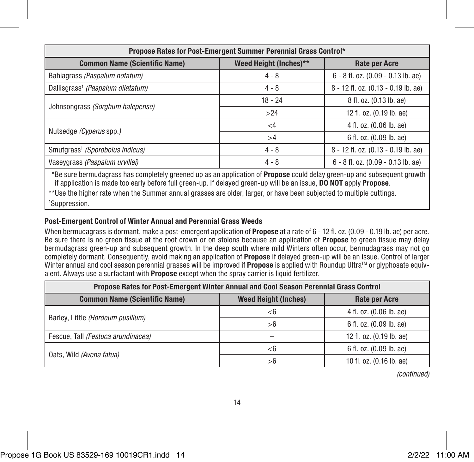| Propose Rates for Post-Emergent Summer Perennial Grass Control*                        |           |                                     |  |  |  |
|----------------------------------------------------------------------------------------|-----------|-------------------------------------|--|--|--|
| Weed Height (Inches)**<br><b>Common Name (Scientific Name)</b><br><b>Rate per Acre</b> |           |                                     |  |  |  |
| Bahiagrass (Paspalum notatum)                                                          | $4 - 8$   | 6 - 8 fl. oz. (0.09 - 0.13 lb. ae)  |  |  |  |
| Dallisgrass <sup>1</sup> (Paspalum dilatatum)                                          | $4 - 8$   | 8 - 12 fl. oz. (0.13 - 0.19 lb. ae) |  |  |  |
| Johnsongrass (Sorghum halepense)                                                       | $18 - 24$ | 8 fl. oz. (0.13 lb. ae)             |  |  |  |
|                                                                                        | >24       | 12 fl. oz. (0.19 lb. ae)            |  |  |  |
| Nutsedge (Cyperus spp.)                                                                | $\leq 4$  | 4 fl. oz. (0.06 lb. ae)             |  |  |  |
|                                                                                        | >4        | 6 fl. oz. (0.09 lb. ae)             |  |  |  |
| Smutgrass <sup>1</sup> (Sporobolus indicus)                                            | $4 - 8$   | 8 - 12 fl. oz. (0.13 - 0.19 lb. ae) |  |  |  |
| Vaseygrass (Paspalum urvillei)                                                         | $4 - 8$   | 6 - 8 fl. oz. (0.09 - 0.13 lb. ae)  |  |  |  |

\*Be sure bermudagrass has completely greened up as an application of Propose could delay green-up and subsequent growth if application is made too early before full green-up. If delayed green-up will be an issue, DO NOT apply Propose.

\*\*Use the higher rate when the Summer annual grasses are older, larger, or have been subjected to multiple cuttings. 1 Suppression.

#### Post-Emergent Control of Winter Annual and Perennial Grass Weeds

When bermudagrass is dormant, make a post-emergent application of **Propose** at a rate of 6 - 12 fl. oz. (0.09 - 0.19 lb. ae) per acre. Be sure there is no green tissue at the root crown or on stolons because an application of Propose to green tissue may delay bermudagrass green-up and subsequent growth. In the deep south where mild Winters often occur, bermudagrass may not go completely dormant. Consequently, avoid making an application of **Propose** if delayed green-up will be an issue. Control of larger Winter annual and cool season perennial grasses will be improved if **Propose** is applied with Roundup Ultra™ or glyphosate equivalent. Always use a surfactant with Propose except when the spray carrier is liquid fertilizer.

| Propose Rates for Post-Emergent Winter Annual and Cool Season Perennial Grass Control       |       |                          |  |  |  |
|---------------------------------------------------------------------------------------------|-------|--------------------------|--|--|--|
| <b>Common Name (Scientific Name)</b><br><b>Weed Height (Inches)</b><br><b>Rate per Acre</b> |       |                          |  |  |  |
| Barley, Little (Hordeum pusillum)                                                           | <6    | 4 fl. oz. (0.06 lb. ae)  |  |  |  |
|                                                                                             | >6    | 6 fl. oz. (0.09 lb. ae)  |  |  |  |
| Fescue. Tall (Festuca arundinacea)                                                          |       | 12 fl. oz. (0.19 lb. ae) |  |  |  |
| Oats, Wild (Avena fatua)                                                                    | $<$ 6 | 6 fl. oz. (0.09 lb. ae)  |  |  |  |
|                                                                                             | >6    | 10 fl. oz. (0.16 lb. ae) |  |  |  |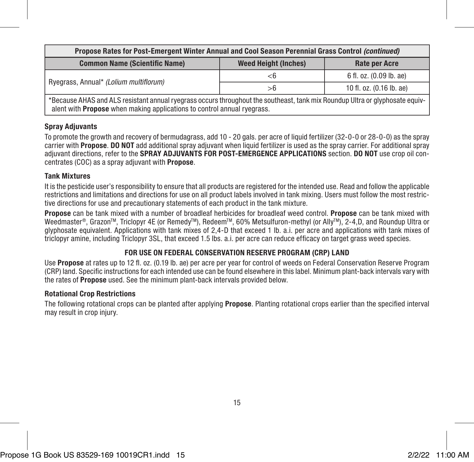| Propose Rates for Post-Emergent Winter Annual and Cool Season Perennial Grass Control (continued)                                                                                                       |    |                          |  |  |
|---------------------------------------------------------------------------------------------------------------------------------------------------------------------------------------------------------|----|--------------------------|--|--|
| <b>Common Name (Scientific Name)</b><br><b>Weed Height (Inches)</b><br><b>Rate per Acre</b>                                                                                                             |    |                          |  |  |
|                                                                                                                                                                                                         | <6 | 6 fl. oz. (0.09 lb. ae)  |  |  |
| Ryegrass, Annual* (Lolium multiflorum)                                                                                                                                                                  | >6 | 10 fl. oz. (0.16 lb. ae) |  |  |
| *Because AHAS and ALS resistant annual ryegrass occurs throughout the southeast, tank mix Roundup Ultra or glyphosate equiv-<br>alent with Propose when making applications to control annual ryegrass. |    |                          |  |  |

#### Spray Adjuvants

To promote the growth and recovery of bermudagrass, add 10 - 20 gals. per acre of liquid fertilizer (32-0-0 or 28-0-0) as the spray carrier with **Propose. DO NOT** add additional spray adjuvant when liquid fertilizer is used as the spray carrier. For additional spray adjuvant directions, refer to the SPRAY ADJUVANTS FOR POST-EMERGENCE APPLICATIONS section. DO NOT use crop oil concentrates (COC) as a spray adjuvant with Propose.

#### Tank Mixtures

It is the pesticide user's responsibility to ensure that all products are registered for the intended use. Read and follow the applicable restrictions and limitations and directions for use on all product labels involved in tank mixing. Users must follow the most restrictive directions for use and precautionary statements of each product in the tank mixture.

Propose can be tank mixed with a number of broadleaf herbicides for broadleaf weed control. Propose can be tank mixed with Weedmaster®, Grazon™, Triclopyr 4E (or Remedy™), Redeem™, 60% Metsulfuron-methyl (or Ally™), 2-4,D, and Roundup Ultra or glyphosate equivalent. Applications with tank mixes of 2,4-D that exceed 1 lb. a.i. per acre and applications with tank mixes of triclopyr amine, including Triclopyr 3SL, that exceed 1.5 lbs. a.i. per acre can reduce efficacy on target grass weed species.

#### FOR USE ON FEDERAL CONSERVATION RESERVE PROGRAM (CRP) LAND

Use Propose at rates up to 12 fl. oz. (0.19 lb. ae) per acre per year for control of weeds on Federal Conservation Reserve Program (CRP) land. Specific instructions for each intended use can be found elsewhere in this label. Minimum plant-back intervals vary with the rates of Propose used. See the minimum plant-back intervals provided below.

#### Rotational Crop Restrictions

The following rotational crops can be planted after applying **Propose**. Planting rotational crops earlier than the specified interval may result in crop injury.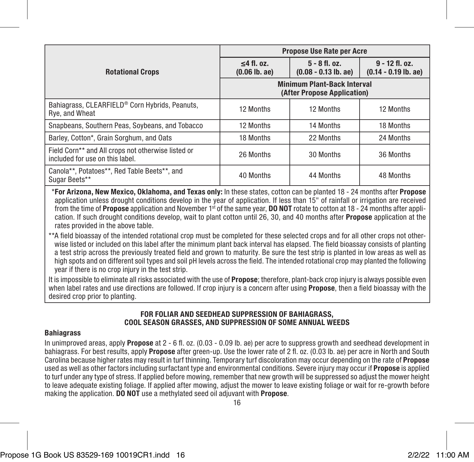|                                                                                       | <b>Propose Use Rate per Acre</b>                                  |                                           |                                            |
|---------------------------------------------------------------------------------------|-------------------------------------------------------------------|-------------------------------------------|--------------------------------------------|
| <b>Rotational Crops</b>                                                               | $<$ 4 fl. oz.<br>$(0.06$ lb. ae)                                  | $5 - 8$ fl. oz.<br>$(0.08 - 0.13$ lb. ae) | $9 - 12$ fl. oz.<br>$(0.14 - 0.19$ lb. ae) |
|                                                                                       | <b>Minimum Plant-Back Interval</b><br>(After Propose Application) |                                           |                                            |
| Bahiagrass, CLEARFIELD® Corn Hybrids, Peanuts,<br>Rve. and Wheat                      | 12 Months                                                         | 12 Months                                 | 12 Months                                  |
| Snapbeans, Southern Peas, Soybeans, and Tobacco                                       | 12 Months                                                         | 14 Months                                 | 18 Months                                  |
| Barley, Cotton*, Grain Sorghum, and Oats                                              | 18 Months                                                         | 22 Months                                 | 24 Months                                  |
| Field Corn** and All crops not otherwise listed or<br>included for use on this label. | 26 Months                                                         | 30 Months                                 | 36 Months                                  |
| Canola**, Potatoes**, Red Table Beets**, and<br>Sugar Beets**                         | 40 Months                                                         | 44 Months                                 | 48 Months                                  |

\*For Arizona, New Mexico, Oklahoma, and Texas only: In these states, cotton can be planted 18 - 24 months after Propose application unless drought conditions develop in the year of application. If less than 15" of rainfall or irrigation are received from the time of **Propose** application and November 1<sup>st</sup> of the same year. **DO NOT** rotate to cotton at 18 - 24 months after application. If such drought conditions develop, wait to plant cotton until 26, 30, and 40 months after Propose application at the rates provided in the above table.

\*\*A field bioassay of the intended rotational crop must be completed for these selected crops and for all other crops not otherwise listed or included on this label after the minimum plant back interval has elapsed. The field bioassay consists of planting a test strip across the previously treated field and grown to maturity. Be sure the test strip is planted in low areas as well as high spots and on different soil types and soil pH levels across the field. The intended rotational crop may planted the following year if there is no crop injury in the test strip.

It is impossible to eliminate all risks associated with the use of **Propose**; therefore, plant-back crop injury is always possible even when label rates and use directions are followed. If crop injury is a concern after using **Propose**, then a field bioassay with the desired crop prior to planting.

#### FOR FOLIAR AND SEEDHEAD SUPPRESSION OF BAHIAGRASS, COOL SEASON GRASSES, AND SUPPRESSION OF SOME ANNUAL WEEDS

#### **Bahiagrass**

In unimproved areas, apply Propose at 2 - 6 fl. oz. (0.03 - 0.09 lb. ae) per acre to suppress growth and seedhead development in bahiagrass. For best results, apply **Propose** after green-up. Use the lower rate of 2 fl. oz. (0.03 lb. ae) per acre in North and South Carolina because higher rates may result in turf thinning. Temporary turf discoloration may occur depending on the rate of Propose used as well as other factors including surfactant type and environmental conditions. Severe injury may occur if **Propose** is applied to turf under any type of stress. If applied before mowing, remember that new growth will be suppressed so adjust the mower height to leave adequate existing foliage. If applied after mowing, adjust the mower to leave existing foliage or wait for re-growth before making the application. DO NOT use a methylated seed oil adjuvant with Propose.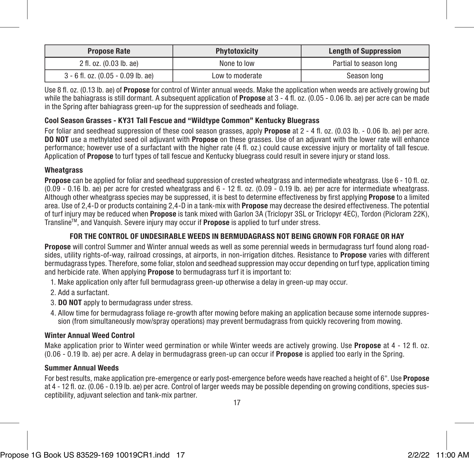| <b>Propose Rate</b>                  | <b>Phytotoxicity</b> | <b>Length of Suppression</b> |
|--------------------------------------|----------------------|------------------------------|
| 2 fl. oz. (0.03 lb. ae)              | None to low          | Partial to season long       |
| $3 - 6$ fl. oz. (0.05 - 0.09 lb. ae) | Low to moderate      | Season long                  |

Use 8 fl. oz. (0.13 lb. ae) of **Propose** for control of Winter annual weeds. Make the application when weeds are actively growing but while the bahiagrass is still dormant. A subsequent application of **Propose** at  $3 - 4$  fl. oz.  $(0.05 - 0.06)$  lb. ae) per acre can be made in the Spring after bahiagrass green-up for the suppression of seedheads and foliage.

#### Cool Season Grasses - KY31 Tall Fescue and "Wildtype Common" Kentucky Bluegrass

For foliar and seedhead suppression of these cool season grasses, apply **Propose** at 2 - 4 fl. oz. (0.03 lb. - 0.06 lb. ae) per acre. DO NOT use a methylated seed oil adjuvant with Propose on these grasses. Use of an adjuvant with the lower rate will enhance performance; however use of a surfactant with the higher rate (4 fl. oz.) could cause excessive injury or mortality of tall fescue. Application of **Propose** to turf types of tall fescue and Kentucky bluegrass could result in severe injury or stand loss.

#### **Wheatgrass**

Propose can be applied for foliar and seedhead suppression of crested wheatgrass and intermediate wheatgrass. Use 6 - 10 fl. oz.  $(0.09 - 0.16$  lb. ae) per acre for crested wheatgrass and  $6 - 12$  fl. oz.  $(0.09 - 0.19$  lb. ae) per acre for intermediate wheatgrass. Although other wheatgrass species may be suppressed, it is best to determine effectiveness by first applying **Propose** to a limited area. Use of 2,4-D or products containing 2,4-D in a tank-mix with Propose may decrease the desired effectiveness. The potential of turf injury may be reduced when Propose is tank mixed with Garlon 3A (Triclopyr 3SL or Triclopyr 4EC), Tordon (Picloram 22K), Transline<sup>rM</sup>, and Vanquish. Severe injury may occur if **Propose** is applied to turf under stress.

#### FOR THE CONTROL OF UNDESIRABLE WEEDS IN BERMUDAGRASS NOT BEING GROWN FOR FORAGE OR HAY

Propose will control Summer and Winter annual weeds as well as some perennial weeds in bermudagrass turf found along roadsides, utility rights-of-way, railroad crossings, at airports, in non-irrigation ditches. Resistance to Propose varies with different bermudagrass types. Therefore, some foliar, stolon and seedhead suppression may occur depending on turf type, application timing and herbicide rate. When applying **Propose** to bermudagrass turf it is important to:

- 1. Make application only after full bermudagrass green-up otherwise a delay in green-up may occur.
- 2. Add a surfactant.
- 3. DO NOT apply to bermudagrass under stress.
- 4. Allow time for bermudagrass foliage re-growth after mowing before making an application because some internode suppression (from simultaneously mow/spray operations) may prevent bermudagrass from quickly recovering from mowing.

#### Winter Annual Weed Control

Make application prior to Winter weed germination or while Winter weeds are actively growing. Use **Propose** at 4 - 12 fl. oz. (0.06 - 0.19 lb. ae) per acre. A delay in bermudagrass green-up can occur if Propose is applied too early in the Spring.

#### Summer Annual Weeds

For best results, make application pre-emergence or early post-emergence before weeds have reached a height of 6". Use **Propose** at 4 - 12 fl. oz. (0.06 - 0.19 lb. ae) per acre. Control of larger weeds may be possible depending on growing conditions, species susceptibility, adjuvant selection and tank-mix partner.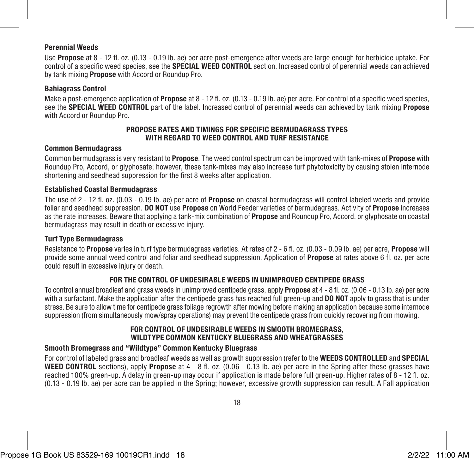#### Perennial Weeds

Use Propose at 8 - 12 fl. oz. (0.13 - 0.19 lb. ae) per acre post-emergence after weeds are large enough for herbicide uptake. For control of a specific weed species, see the SPECIAL WEED CONTROL section. Increased control of perennial weeds can achieved by tank mixing Propose with Accord or Roundup Pro.

#### Bahiagrass Control

Make a post-emergence application of **Propose** at 8 - 12 fl. oz. (0.13 - 0.19 lb. ae) per acre. For control of a specific weed species, see the **SPECIAL WEED CONTROL** part of the label. Increased control of perennial weeds can achieved by tank mixing **Propose** with Accord or Roundup Pro.

#### PROPOSE RATES AND TIMINGS FOR SPECIFIC BERMUDAGRASS TYPES WITH REGARD TO WEED CONTROL AND TURF RESISTANCE

#### Common Bermudagrass

Common bermudagrass is very resistant to Propose. The weed control spectrum can be improved with tank-mixes of Propose with Roundup Pro, Accord, or glyphosate; however, these tank-mixes may also increase turf phytotoxicity by causing stolen internode shortening and seedhead suppression for the first 8 weeks after application.

#### Established Coastal Bermudagrass

The use of 2 - 12 fl. oz. (0.03 - 0.19 lb. ae) per acre of Propose on coastal bermudagrass will control labeled weeds and provide foliar and seedhead suppression. DO NOT use Propose on World Feeder varieties of bermudagrass. Activity of Propose increases as the rate increases. Beware that applying a tank-mix combination of **Propose** and Roundup Pro, Accord, or glyphosate on coastal bermudagrass may result in death or excessive injury.

#### Turf Type Bermudagrass

Resistance to Propose varies in turf type bermudagrass varieties. At rates of 2 - 6 fl. oz. (0.03 - 0.09 lb. ae) per acre, Propose will provide some annual weed control and foliar and seedhead suppression. Application of **Propose** at rates above 6 fl. oz. per acre could result in excessive injury or death.

#### FOR THE CONTROL OF UNDESIRABLE WEEDS IN UNIMPROVED CENTIPEDE GRASS

To control annual broadleaf and grass weeds in unimproved centipede grass, apply **Propose** at 4 - 8 fl. oz. (0.06 - 0.13 lb. ae) per acre with a surfactant. Make the application after the centipede grass has reached full green-up and **DO NOT** apply to grass that is under stress. Be sure to allow time for centipede grass foliage regrowth after mowing before making an application because some internode suppression (from simultaneously mow/spray operations) may prevent the centipede grass from quickly recovering from mowing.

#### FOR CONTROL OF UNDESIRABLE WEEDS IN SMOOTH BROMEGRASS, WILDTYPE COMMON KENTUCKY BLUEGRASS AND WHEATGRASSES

#### Smooth Bromegrass and "Wildtype" Common Kentucky Bluegrass

For control of labeled grass and broadleaf weeds as well as growth suppression (refer to the WEEDS CONTROLLED and SPECIAL WEED CONTROL sections), apply Propose at 4 - 8 fl. oz. (0.06 - 0.13 lb. ae) per acre in the Spring after these grasses have reached 100% green-up. A delay in green-up may occur if application is made before full green-up. Higher rates of 8 - 12 fl. oz. (0.13 - 0.19 lb. ae) per acre can be applied in the Spring; however, excessive growth suppression can result. A Fall application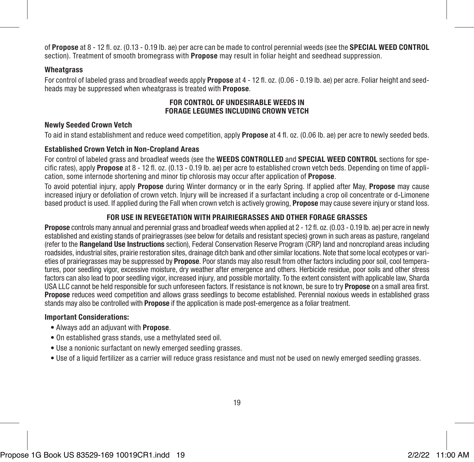of Propose at 8 - 12 fl. oz. (0.13 - 0.19 lb. ae) per acre can be made to control perennial weeds (see the SPECIAL WEED CONTROL section). Treatment of smooth bromegrass with **Propose** may result in foliar height and seedhead suppression.

#### **Wheatgrass**

For control of labeled grass and broadleaf weeds apply **Propose** at 4 - 12 fl. oz. (0.06 - 0.19 lb. ae) per acre. Foliar height and seedheads may be suppressed when wheatgrass is treated with **Propose**.

#### FOR CONTROL OF UNDESIRABLE WEEDS IN FORAGE LEGUMES INCLUDING CROWN VETCH

#### Newly Seeded Crown Vetch

To aid in stand establishment and reduce weed competition, apply Propose at 4 fl. oz. (0.06 lb. ae) per acre to newly seeded beds.

#### Established Crown Vetch in Non-Cropland Areas

For control of labeled grass and broadleaf weeds (see the WEEDS CONTROLLED and SPECIAL WEED CONTROL sections for specific rates), apply **Propose** at 8 - 12 fl. oz. (0.13 - 0.19 lb. ae) per acre to established crown vetch beds. Depending on time of application, some internode shortening and minor tip chlorosis may occur after application of Propose.

To avoid potential injury, apply Propose during Winter dormancy or in the early Spring. If applied after May, Propose may cause increased injury or defoliation of crown vetch. Injury will be increased if a surfactant including a crop oil concentrate or d-Limonene based product is used. If applied during the Fall when crown vetch is actively growing, **Propose** may cause severe injury or stand loss.

#### FOR USE IN REVEGETATION WITH PRAIRIEGRASSES AND OTHER FORAGE GRASSES

Propose controls many annual and perennial grass and broadleaf weeds when applied at 2 - 12 fl. oz. (0.03 - 0.19 lb. ae) per acre in newly established and existing stands of prairiegrasses (see below for details and resistant species) grown in such areas as pasture, rangeland (refer to the Rangeland Use Instructions section), Federal Conservation Reserve Program (CRP) land and noncropland areas including roadsides, industrial sites, prairie restoration sites, drainage ditch bank and other similar locations. Note that some local ecotypes or varieties of prairiegrasses may be suppressed by **Propose**. Poor stands may also result from other factors including poor soil, cool temperatures, poor seedling vigor, excessive moisture, dry weather after emergence and others. Herbicide residue, poor soils and other stress factors can also lead to poor seedling vigor, increased injury, and possible mortality. To the extent consistent with applicable law, Sharda USA LLC cannot be held responsible for such unforeseen factors. If resistance is not known, be sure to try Propose on a small area first. Propose reduces weed competition and allows grass seedlings to become established. Perennial noxious weeds in established grass stands may also be controlled with **Propose** if the application is made post-emergence as a foliar treatment.

#### Important Considerations:

- Always add an adjuvant with Propose.
- On established grass stands, use a methylated seed oil.
- Use a nonionic surfactant on newly emerged seedling grasses.
- Use of a liquid fertilizer as a carrier will reduce grass resistance and must not be used on newly emerged seedling grasses.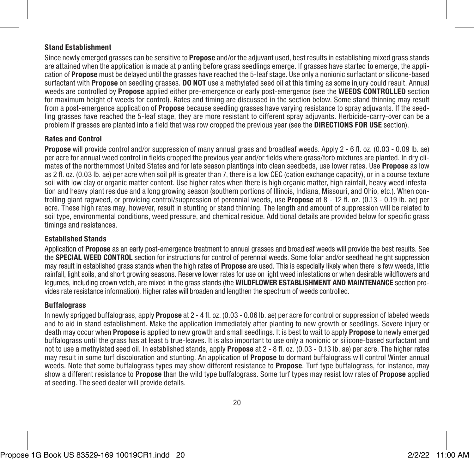#### Stand Establishment

Since newly emerged grasses can be sensitive to **Propose** and/or the adjuvant used, best results in establishing mixed grass stands are attained when the application is made at planting before grass seedlings emerge. If grasses have started to emerge, the application of Propose must be delayed until the grasses have reached the 5-leaf stage. Use only a nonionic surfactant or silicone-based surfactant with **Propose** on seedling grasses. **DO NOT** use a methylated seed oil at this timing as some injury could result. Annual weeds are controlled by **Propose** applied either pre-emergence or early post-emergence (see the WEEDS CONTROLLED section for maximum height of weeds for control). Rates and timing are discussed in the section below. Some stand thinning may result from a post-emergence application of **Propose** because seedling grasses have varying resistance to spray adjuvants. If the seedling grasses have reached the 5-leaf stage, they are more resistant to different spray adjuvants. Herbicide-carry-over can be a problem if grasses are planted into a field that was row cropped the previous year (see the DIRECTIONS FOR USE section).

#### Rates and Control

Propose will provide control and/or suppression of many annual grass and broadleaf weeds. Apply 2 - 6 fl. oz. (0.03 - 0.09 lb. ae) per acre for annual weed control in fields cropped the previous year and/or fields where grass/forb mixtures are planted. In dry climates of the northernmost United States and for late season plantings into clean seedbeds, use lower rates. Use **Propose** as low as 2 fl. oz. (0.03 lb. ae) per acre when soil pH is greater than 7, there is a low CEC (cation exchange capacity), or in a course texture soil with low clay or organic matter content. Use higher rates when there is high organic matter, high rainfall, heavy weed infestation and heavy plant residue and a long growing season (southern portions of Illinois, Indiana, Missouri, and Ohio, etc.). When controlling giant ragweed, or providing control/suppression of perennial weeds, use Propose at 8 - 12 fl. oz. (0.13 - 0.19 lb. ae) per acre. These high rates may, however, result in stunting or stand thinning. The length and amount of suppression will be related to soil type, environmental conditions, weed pressure, and chemical residue. Additional details are provided below for specific grass timings and resistances.

#### Established Stands

Application of **Propose** as an early post-emergence treatment to annual grasses and broadleaf weeds will provide the best results. See the SPECIAL WEED CONTROL section for instructions for control of perennial weeds. Some foliar and/or seedhead height suppression may result in established grass stands when the high rates of **Propose** are used. This is especially likely when there is few weeds, little rainfall, light soils, and short growing seasons. Reserve lower rates for use on light weed infestations or when desirable wildflowers and legumes, including crown vetch, are mixed in the grass stands (the WILDFLOWER ESTABLISHMENT AND MAINTENANCE section provides rate resistance information). Higher rates will broaden and lengthen the spectrum of weeds controlled.

#### **Buffalograss**

In newly sprigged buffalograss, apply **Propose** at 2 - 4 fl. oz. (0.03 - 0.06 lb. ae) per acre for control or suppression of labeled weeds and to aid in stand establishment. Make the application immediately after planting to new growth or seedlings. Severe injury or death may occur when Propose is applied to new growth and small seedlings. It is best to wait to apply Propose to newly emerged buffalograss until the grass has at least 5 true-leaves. It is also important to use only a nonionic or silicone-based surfactant and not to use a methylated seed oil. In established stands, apply Propose at 2 - 8 fl. oz. (0.03 - 0.13 lb. ae) per acre. The higher rates may result in some turf discoloration and stunting. An application of **Propose** to dormant buffalograss will control Winter annual weeds. Note that some buffalograss types may show different resistance to **Propose**. Turf type buffalograss, for instance, may show a different resistance to **Propose** than the wild type buffalograss. Some turf types may resist low rates of **Propose** applied at seeding. The seed dealer will provide details.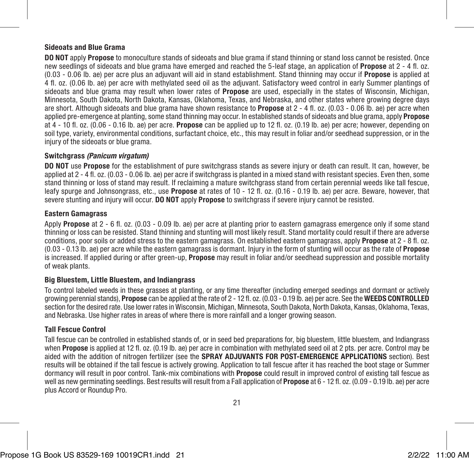#### Sideoats and Blue Grama

DO NOT apply Propose to monoculture stands of sideoats and blue grama if stand thinning or stand loss cannot be resisted. Once new seedlings of sideoats and blue grama have emerged and reached the 5-leaf stage, an application of **Propose** at 2 - 4 fl. oz. (0.03 - 0.06 lb. ae) per acre plus an adjuvant will aid in stand establishment. Stand thinning may occur if Propose is applied at 4 fl. oz. (0.06 lb. ae) per acre with methylated seed oil as the adjuvant. Satisfactory weed control in early Summer plantings of sideoats and blue grama may result when lower rates of **Propose** are used, especially in the states of Wisconsin, Michigan, Minnesota, South Dakota, North Dakota, Kansas, Oklahoma, Texas, and Nebraska, and other states where growing degree days are short. Although sideoats and blue grama have shown resistance to **Propose** at  $2 - 4$  fl. oz.  $(0.03 - 0.06)$  b. ae) per acre when applied pre-emergence at planting, some stand thinning may occur. In established stands of sideoats and blue grama, apply Propose at 4 - 10 fl. oz. (0.06 - 0.16 lb. ae) per acre. Propose can be applied up to 12 fl. oz. (0.19 lb. ae) per acre; however, depending on soil type, variety, environmental conditions, surfactant choice, etc., this may result in foliar and/or seedhead suppression, or in the injury of the sideoats or blue grama.

#### Switchgrass *(Panicum virgatum)*

DO NOT use Propose for the establishment of pure switchgrass stands as severe injury or death can result. It can, however, be applied at 2 - 4 fl. oz. (0.03 - 0.06 lb. ae) per acre if switchgrass is planted in a mixed stand with resistant species. Even then, some stand thinning or loss of stand may result. If reclaiming a mature switchgrass stand from certain perennial weeds like tall fescue. leafy spurge and Johnsongrass, etc., use **Propose** at rates of 10 - 12 fl. oz. (0.16 - 0.19 lb. ae) per acre. Beware, however, that severe stunting and injury will occur. DO NOT apply Propose to switchgrass if severe injury cannot be resisted.

#### Eastern Gamagrass

Apply **Propose** at 2 - 6 fl. oz. (0.03 - 0.09 lb. ae) per acre at planting prior to eastern gamagrass emergence only if some stand thinning or loss can be resisted. Stand thinning and stunting will most likely result. Stand mortality could result if there are adverse conditions, poor soils or added stress to the eastern gamagrass. On established eastern gamagrass, apply **Propose** at 2 - 8 fl. oz. (0.03 - 0.13 lb. ae) per acre while the eastern gamagrass is dormant. Injury in the form of stunting will occur as the rate of Propose is increased. If applied during or after green-up. **Propose** may result in foliar and/or seedhead suppression and possible mortality of weak plants.

#### Big Bluestem, Little Bluestem, and Indiangrass

To control labeled weeds in these grasses at planting, or any time thereafter (including emerged seedings and dormant or actively growing perennial stands), Propose can be applied at the rate of 2 - 12 fl. oz. (0.03 - 0.19 lb. ae) per acre. See the WEEDS CONTROLLED section for the desired rate. Use lower rates in Wisconsin, Michigan, Minnesota, South Dakota, North Dakota, Kansas, Oklahoma, Texas, and Nebraska. Use higher rates in areas of where there is more rainfall and a longer growing season.

#### Tall Fescue Control

Tall fescue can be controlled in established stands of, or in seed bed preparations for, big bluestem, little bluestem, and Indiangrass when **Propose** is applied at 12 fl. oz. (0.19 lb. ae) per acre in combination with methylated seed oil at 2 pts. per acre. Control may be aided with the addition of nitrogen fertilizer (see the **SPRAY ADJUVANTS FOR POST-EMERGENCE APPLICATIONS** section). Best results will be obtained if the tall fescue is actively growing. Application to tall fescue after it has reached the boot stage or Summer dormancy will result in poor control. Tank-mix combinations with **Propose** could result in improved control of existing tall fescue as well as new germinating seedlings. Best results will result from a Fall application of **Propose** at 6 - 12 fl. oz. (0.09 - 0.19 lb. ae) per acre plus Accord or Roundup Pro.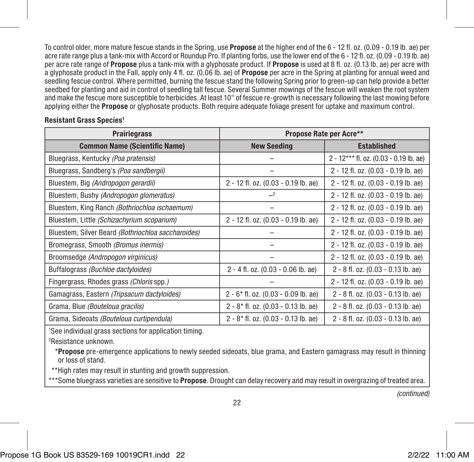To control older, more mature fescue stands in the Spring, use Propose at the higher end of the 6 - 12 fl. oz. (0.09 - 0.19 lb. ae) per acre rate range plus a tank-mix with Accord or Roundup Pro. If planting forbs, use the lower end of the 6 - 12 fl. oz. (0.09 - 0.19 lb. ae) per acre rate range of Propose plus a tank-mix with a glyphosate product. If Propose is used at 8 fl. oz. (0.13 lb. ae) per acre with a glyphosate product in the Fall, apply only 4 fl. oz. (0.06 lb. ae) of **Propose** per acre in the Spring at planting for annual weed and seedling fescue control. Where permitted, burning the fescue stand the following Spring prior to green-up can help provide a better seedbed for planting and aid in control of seedling tall fescue. Several Summer mowings of the fescue will weaken the root system and make the fescue more susceptible to herbicides. At least 10" of fescue re-growth is necessary following the last mowing before applying either the **Propose** or glyphosate products. Both require adequate foliage present for uptake and maximum control.

| <b>Prairiegrass</b>                                | Propose Rate per Acre**                |                                        |  |
|----------------------------------------------------|----------------------------------------|----------------------------------------|--|
| <b>Common Name (Scientific Name)</b>               | <b>New Seeding</b>                     | <b>Established</b>                     |  |
| Bluegrass, Kentucky (Poa pratensis)                |                                        | 2 - 12*** fl. oz. (0.03 - 0.19 lb. ae) |  |
| Bluegrass, Sandberg's (Poa sandbergii)             |                                        | 2 - 12 fl. oz. (0.03 - 0.19 lb. ae)    |  |
| Bluestem, Big (Andropogon gerardii)                | 2 - 12 fl. oz. (0.03 - 0.19 lb. ae)    | 2 - 12 fl. oz. (0.03 - 0.19 lb. ae)    |  |
| Bluestem, Bushy (Andropogon glomeratus)            | $-2$                                   | 2 - 12 fl. oz. (0.03 - 0.19 lb. ae)    |  |
| Bluestem, King Ranch (Bothriochloa ischaemum)      |                                        | 2 - 12 fl. oz. (0.03 - 0.19 lb. ae)    |  |
| Bluestem, Little (Schizachyrium scoparium)         | 2 - 12 fl. oz. (0.03 - 0.19 lb. ae)    | 2 - 12 fl. oz. (0.03 - 0.19 lb. ae)    |  |
| Bluestem, Silver Beard (Bothriochloa saccharoides) |                                        | 2 - 12 fl. oz. (0.03 - 0.19 lb. ae)    |  |
| Bromegrass, Smooth (Bromus inermis)                |                                        | 2 - 12 fl. oz. (0.03 - 0.19 lb. ae)    |  |
| Broomsedge (Andropogon virginicus)                 |                                        | 2 - 12 fl. oz. (0.03 - 0.19 lb. ae)    |  |
| Buffalograss (Buchloe dactyloides)                 | 2 - 4 fl. oz. (0.03 - 0.06 lb. ae)     | 2 - 8 fl. oz. (0.03 - 0.13 lb. ae)     |  |
| Fingergrass, Rhodes grass (Chloris spp.)           |                                        | 2 - 12 fl. oz. (0.03 - 0.19 lb. ae)    |  |
| Gamagrass, Eastern (Tripsacum dactyloides)         | $2 - 6*$ fl. oz. (0.03 - 0.09 lb. ae)  | 2 - 8 fl. oz. (0.03 - 0.13 lb. ae)     |  |
| Grama, Blue (Bouteloua gracilis)                   | $2 - 8$ * fl. oz. (0.03 - 0.13 lb. ae) | 2 - 8 fl. oz. (0.03 - 0.13 lb. ae)     |  |
| Grama, Sideoats (Bouteloua curtipendula)           | $2 - 8$ * fl. oz. (0.03 - 0.13 lb. ae) | 2 - 8 fl. oz. (0.03 - 0.13 lb. ae)     |  |

#### Resistant Grass Species<sup>1</sup>

1 See individual grass sections for application timing.

2 Resistance unknown.

 \*Propose pre-emergence applications to newly seeded sideoats, blue grama, and Eastern gamagrass may result in thinning or loss of stand.

\*\*High rates may result in stunting and growth suppression.

\*\*\*Some bluegrass varieties are sensitive to Propose. Drought can delay recovery and may result in overgrazing of treated area.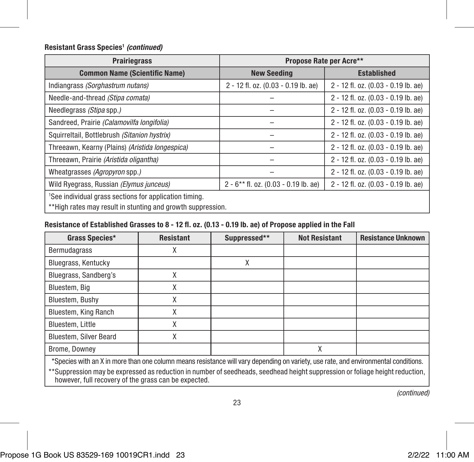#### Resistant Grass Species1  *(continued)*

| <b>Prairiegrass</b>                                                                                                               | Propose Rate per Acre**                  |                                     |  |
|-----------------------------------------------------------------------------------------------------------------------------------|------------------------------------------|-------------------------------------|--|
| <b>Common Name (Scientific Name)</b>                                                                                              | <b>Established</b><br><b>New Seeding</b> |                                     |  |
| Indiangrass (Sorghastrum nutans)                                                                                                  | 2 - 12 fl. oz. (0.03 - 0.19 lb. ae)      | 2 - 12 fl. oz. (0.03 - 0.19 lb. ae) |  |
| Needle-and-thread (Stipa comata)                                                                                                  |                                          | 2 - 12 fl. oz. (0.03 - 0.19 lb. ae) |  |
| Needlegrass (Stipa spp.)                                                                                                          |                                          | 2 - 12 fl. oz. (0.03 - 0.19 lb. ae) |  |
| Sandreed, Prairie (Calamovilfa longifolia)                                                                                        |                                          | 2 - 12 fl. oz. (0.03 - 0.19 lb. ae) |  |
| Squirreltail, Bottlebrush (Sitanion hystrix)                                                                                      |                                          | 2 - 12 fl. oz. (0.03 - 0.19 lb. ae) |  |
| Threeawn, Kearny (Plains) (Aristida longespica)                                                                                   |                                          | 2 - 12 fl. oz. (0.03 - 0.19 lb. ae) |  |
| Threeawn, Prairie (Aristida oligantha)                                                                                            |                                          | 2 - 12 fl. oz. (0.03 - 0.19 lb. ae) |  |
| Wheatgrasses (Agropyron spp.)                                                                                                     |                                          | 2 - 12 fl. oz. (0.03 - 0.19 lb. ae) |  |
| Wild Ryegrass, Russian (Elymus junceus)                                                                                           | $2 - 6$ ** fl. oz. (0.03 - 0.19 lb. ae)  | 2 - 12 fl. oz. (0.03 - 0.19 lb. ae) |  |
| <sup>1</sup> See individual grass sections for application timing.<br>**High rates may result in stunting and growth suppression. |                                          |                                     |  |

#### Resistance of Established Grasses to 8 - 12 fl. oz. (0.13 - 0.19 lb. ae) of Propose applied in the Fall

| Grass Species*                                                                                                                      | <b>Resistant</b> | Suppressed** | <b>Not Resistant</b> | <b>Resistance Unknown</b> |
|-------------------------------------------------------------------------------------------------------------------------------------|------------------|--------------|----------------------|---------------------------|
| Bermudagrass                                                                                                                        |                  |              |                      |                           |
| Bluegrass, Kentucky                                                                                                                 |                  | Χ            |                      |                           |
| Bluegrass, Sandberg's                                                                                                               |                  |              |                      |                           |
| Bluestem, Big                                                                                                                       | χ                |              |                      |                           |
| Bluestem, Bushy                                                                                                                     | χ                |              |                      |                           |
| Bluestem, King Ranch                                                                                                                | χ                |              |                      |                           |
| Bluestem, Little                                                                                                                    | χ                |              |                      |                           |
| <b>Bluestem, Silver Beard</b>                                                                                                       |                  |              |                      |                           |
| Brome, Downey                                                                                                                       |                  |              | X                    |                           |
| *Species with an X in more than one column means resistance will vary depending on variety, use rate, and environmental conditions. |                  |              |                      |                           |

\*\*Suppression may be expressed as reduction in number of seedheads, seedhead height suppression or foliage height reduction, however, full recovery of the grass can be expected.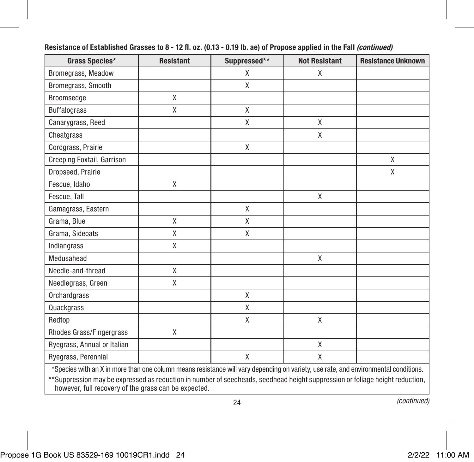| Grass Species*                                                                                                                                                                       | <b>Resistant</b>                                                                                                                    | Suppressed** | <b>Not Resistant</b> | <b>Resistance Unknown</b> |  |
|--------------------------------------------------------------------------------------------------------------------------------------------------------------------------------------|-------------------------------------------------------------------------------------------------------------------------------------|--------------|----------------------|---------------------------|--|
| Bromegrass, Meadow                                                                                                                                                                   |                                                                                                                                     | X            | X                    |                           |  |
| Bromegrass, Smooth                                                                                                                                                                   |                                                                                                                                     | X            |                      |                           |  |
| Broomsedge                                                                                                                                                                           | X                                                                                                                                   |              |                      |                           |  |
| <b>Buffalograss</b>                                                                                                                                                                  | X                                                                                                                                   | X            |                      |                           |  |
| Canarygrass, Reed                                                                                                                                                                    |                                                                                                                                     | X            | X                    |                           |  |
| Cheatgrass                                                                                                                                                                           |                                                                                                                                     |              | X                    |                           |  |
| Cordgrass, Prairie                                                                                                                                                                   |                                                                                                                                     | X            |                      |                           |  |
| Creeping Foxtail, Garrison                                                                                                                                                           |                                                                                                                                     |              |                      | X                         |  |
| Dropseed, Prairie                                                                                                                                                                    |                                                                                                                                     |              |                      | X                         |  |
| Fescue, Idaho                                                                                                                                                                        | X                                                                                                                                   |              |                      |                           |  |
| Fescue, Tall                                                                                                                                                                         |                                                                                                                                     |              | X                    |                           |  |
| Gamagrass, Eastern                                                                                                                                                                   |                                                                                                                                     | X            |                      |                           |  |
| Grama, Blue                                                                                                                                                                          | X                                                                                                                                   | X            |                      |                           |  |
| Grama, Sideoats                                                                                                                                                                      | X                                                                                                                                   | X            |                      |                           |  |
| Indiangrass                                                                                                                                                                          | X                                                                                                                                   |              |                      |                           |  |
| Medusahead                                                                                                                                                                           |                                                                                                                                     |              | X                    |                           |  |
| Needle-and-thread                                                                                                                                                                    | X                                                                                                                                   |              |                      |                           |  |
| Needlegrass, Green                                                                                                                                                                   | X                                                                                                                                   |              |                      |                           |  |
| Orchardgrass                                                                                                                                                                         |                                                                                                                                     | X            |                      |                           |  |
| Quackgrass                                                                                                                                                                           |                                                                                                                                     | X            |                      |                           |  |
| Redtop                                                                                                                                                                               |                                                                                                                                     | X            | X                    |                           |  |
| Rhodes Grass/Fingergrass                                                                                                                                                             | X                                                                                                                                   |              |                      |                           |  |
| Ryegrass, Annual or Italian                                                                                                                                                          |                                                                                                                                     |              | X                    |                           |  |
| Ryegrass, Perennial                                                                                                                                                                  |                                                                                                                                     | X            | $\mathsf{X}$         |                           |  |
|                                                                                                                                                                                      | *Species with an X in more than one column means resistance will vary depending on variety, use rate, and environmental conditions. |              |                      |                           |  |
| **Suppression may be expressed as reduction in number of seedheads, seedhead height suppression or foliage height reduction,<br>however, full recovery of the grass can be expected. |                                                                                                                                     |              |                      |                           |  |

#### Resistance of Established Grasses to 8 - 12 fl. oz. (0.13 - 0.19 lb. ae) of Propose applied in the Fall *(continued)*

24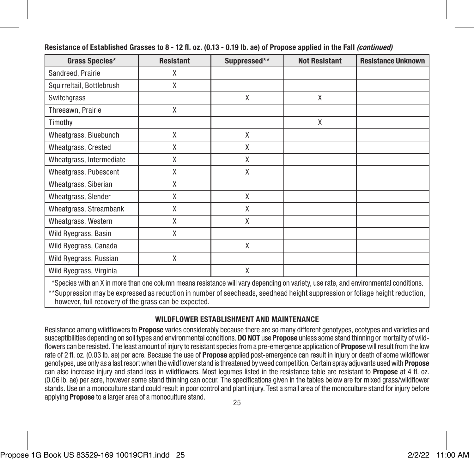| Grass Species*                                                                                                                                                                       | <b>Resistant</b> | Suppressed** | <b>Not Resistant</b> | <b>Resistance Unknown</b> |  |
|--------------------------------------------------------------------------------------------------------------------------------------------------------------------------------------|------------------|--------------|----------------------|---------------------------|--|
| Sandreed, Prairie                                                                                                                                                                    | X                |              |                      |                           |  |
| Squirreltail, Bottlebrush                                                                                                                                                            | X                |              |                      |                           |  |
| Switchgrass                                                                                                                                                                          |                  | X            | X                    |                           |  |
| Threeawn, Prairie                                                                                                                                                                    | X                |              |                      |                           |  |
| Timothy                                                                                                                                                                              |                  |              | X                    |                           |  |
| Wheatgrass, Bluebunch                                                                                                                                                                | X                | X            |                      |                           |  |
| Wheatgrass, Crested                                                                                                                                                                  | Χ                | X            |                      |                           |  |
| Wheatgrass, Intermediate                                                                                                                                                             | X                | X            |                      |                           |  |
| Wheatgrass, Pubescent                                                                                                                                                                | X                | X            |                      |                           |  |
| Wheatgrass, Siberian                                                                                                                                                                 | Χ                |              |                      |                           |  |
| Wheatgrass, Slender                                                                                                                                                                  | X                | X            |                      |                           |  |
| Wheatgrass, Streambank                                                                                                                                                               | X                | X            |                      |                           |  |
| Wheatgrass, Western                                                                                                                                                                  | Χ                | X            |                      |                           |  |
| Wild Ryegrass, Basin                                                                                                                                                                 | χ                |              |                      |                           |  |
| Wild Ryegrass, Canada                                                                                                                                                                |                  | X            |                      |                           |  |
| Wild Ryegrass, Russian                                                                                                                                                               | Χ                |              |                      |                           |  |
| Wild Ryegrass, Virginia                                                                                                                                                              |                  | X            |                      |                           |  |
| *Species with an X in more than one column means resistance will vary depending on variety, use rate, and environmental conditions.                                                  |                  |              |                      |                           |  |
| **Suppression may be expressed as reduction in number of seedheads, seedhead height suppression or foliage height reduction,<br>however, full recovery of the grass can be expected. |                  |              |                      |                           |  |

#### Resistance of Established Grasses to 8 - 12 fl. oz. (0.13 - 0.19 lb. ae) of Propose applied in the Fall *(continued)*

#### WILDFLOWER ESTABLISHMENT AND MAINTENANCE

Resistance among wildflowers to **Propose** varies considerably because there are so many different genotypes, ecotypes and varieties and susceptibilities depending on soil types and environmental conditions. DO NOT use Propose unless some stand thinning or mortality of wildflowers can be resisted. The least amount of injury to resistant species from a pre-emergence application of **Propose** will result from the low rate of 2 fl. oz. (0.03 lb. ae) per acre. Because the use of **Propose** applied post-emergence can result in injury or death of some wildflower genotypes, use only as a last resort when the wildflower stand is threatened by weed competition. Certain spray adjuvants used with **Propose** can also increase injury and stand loss in wildflowers. Most legumes listed in the resistance table are resistant to Propose at 4 fl. oz. (0.06 lb. ae) per acre, however some stand thinning can occur. The specifications given in the tables below are for mixed grass/wildflower stands. Use on a monoculture stand could result in poor control and plant injury. Test a small area of the monoculture stand for injury before applying **Propose** to a larger area of a monoculture stand.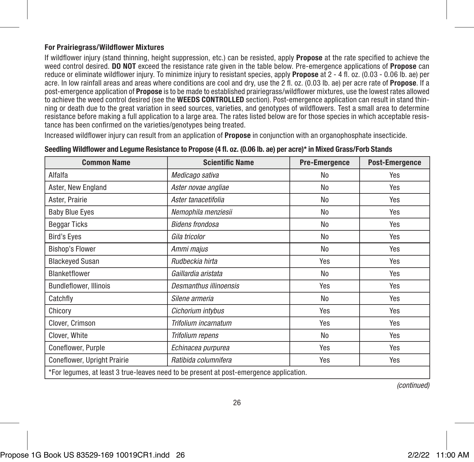#### For Prairiegrass/Wildflower Mixtures

If wildflower injury (stand thinning, height suppression, etc.) can be resisted, apply **Propose** at the rate specified to achieve the weed control desired. DO NOT exceed the resistance rate given in the table below. Pre-emergence applications of Propose can reduce or eliminate wildflower injury. To minimize injury to resistant species, apply Propose at 2 - 4 fl. oz. (0.03 - 0.06 lb. ae) per acre. In low rainfall areas and areas where conditions are cool and dry, use the 2 fl. oz. (0.03 lb. ae) per acre rate of Propose. If a post-emergence application of **Propose** is to be made to established prairiegrass/wildflower mixtures, use the lowest rates allowed to achieve the weed control desired (see the WEEDS CONTROLLED section). Post-emergence application can result in stand thinning or death due to the great variation in seed sources, varieties, and genotypes of wildflowers. Test a small area to determine resistance before making a full application to a large area. The rates listed below are for those species in which acceptable resistance has been confirmed on the varieties/genotypes being treated.

Increased wildflower injury can result from an application of **Propose** in conjunction with an organophosphate insecticide.

| <b>Common Name</b>            | <b>Scientific Name</b>                                                                 | <b>Pre-Emergence</b> | <b>Post-Emergence</b> |
|-------------------------------|----------------------------------------------------------------------------------------|----------------------|-----------------------|
| Alfalfa                       | Medicago sativa                                                                        | No                   | Yes                   |
| Aster, New England            | Aster novae angliae                                                                    | No                   | Yes                   |
| Aster, Prairie                | Aster tanacetifolia                                                                    | No                   | Yes                   |
| <b>Baby Blue Eyes</b>         | Nemophila menziesii                                                                    | No                   | Yes                   |
| <b>Beggar Ticks</b>           | <b>Bidens frondosa</b>                                                                 | No                   | Yes                   |
| <b>Bird's Eyes</b>            | Gila tricolor                                                                          | No                   | Yes                   |
| <b>Bishop's Flower</b>        | Ammi majus                                                                             | No                   | Yes                   |
| <b>Blackeyed Susan</b>        | Rudbeckia hirta                                                                        | Yes                  | Yes                   |
| Blanketflower                 | Gaillardia aristata                                                                    | No                   | Yes                   |
| <b>Bundleflower, Illinois</b> | Desmanthus illinoensis                                                                 | Yes                  | Yes                   |
| Catchfly                      | Silene armeria                                                                         | No                   | Yes                   |
| Chicory                       | Cichorium intybus                                                                      | Yes                  | Yes                   |
| Clover, Crimson               | Trifolium incarnatum                                                                   | Yes                  | Yes                   |
| Clover, White                 | <b>Trifolium repens</b>                                                                | No                   | Yes                   |
| Coneflower, Purple            | Echinacea purpurea                                                                     | Yes                  | Yes                   |
| Coneflower, Upright Prairie   | Ratibida columnifera                                                                   | Yes                  | Yes                   |
|                               | *For legumes, at least 3 true-leaves need to be present at post-emergence application. |                      |                       |

Seedling Wildflower and Legume Resistance to Propose (4 fl. oz. (0.06 lb. ae) per acre)\* in Mixed Grass/Forb Stands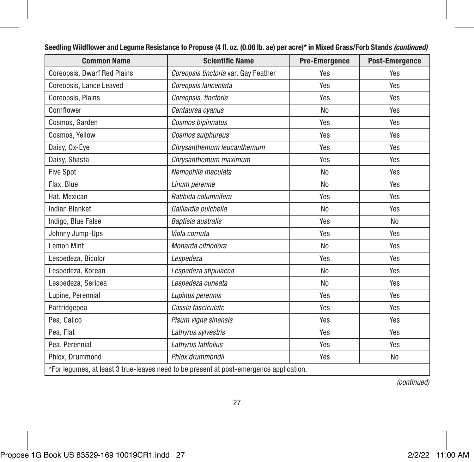| <b>Common Name</b>                                                                     | <b>Scientific Name</b>               | <b>Pre-Emergence</b> | Post-Emergence |  |  |
|----------------------------------------------------------------------------------------|--------------------------------------|----------------------|----------------|--|--|
| Coreopsis, Dwarf Red Plains                                                            | Coreopsis tinctoria var. Gay Feather | Yes                  | Yes            |  |  |
| Coreopsis, Lance Leaved                                                                | Coreopsis lanceolata                 | Yes                  | Yes            |  |  |
| Coreopsis, Plains                                                                      | Coreopsis, tinctoria                 | Yes                  | Yes            |  |  |
| Cornflower                                                                             | Centaurea cyanus                     | N <sub>0</sub>       | Yes            |  |  |
| Cosmos, Garden                                                                         | Cosmos bipinnatus                    | Yes                  | Yes            |  |  |
| Cosmos, Yellow                                                                         | Cosmos sulphureus                    | Yes                  | Yes            |  |  |
| Daisy, Ox-Eye                                                                          | Chrysanthemum leucanthemum           | Yes                  | Yes            |  |  |
| Daisy, Shasta                                                                          | Chrysanthemum maximum                | Yes                  | Yes            |  |  |
| <b>Five Spot</b>                                                                       | Nemophila maculata                   | No                   | Yes            |  |  |
| Flax, Blue                                                                             | Linum perenne                        | N <sub>0</sub>       | Yes            |  |  |
| Hat, Mexican                                                                           | Ratibida columnifera                 | Yes                  | Yes            |  |  |
| <b>Indian Blanket</b>                                                                  | Gaillardia pulchella                 | N <sub>o</sub>       | Yes            |  |  |
| Indigo, Blue False                                                                     | Baptisia australis                   | Yes                  | N <sub>0</sub> |  |  |
| Johnny Jump-Ups                                                                        | Viola cornuta                        | Yes                  | Yes            |  |  |
| <b>Lemon Mint</b>                                                                      | Monarda citriodora                   | No                   | Yes            |  |  |
| Lespedeza, Bicolor                                                                     | Lespedeza                            | Yes                  | Yes            |  |  |
| Lespedeza, Korean                                                                      | Lespedeza stipulacea                 | N <sub>0</sub>       | Yes            |  |  |
| Lespedeza, Sericea                                                                     | Lespedeza cuneata                    | N <sub>0</sub>       | Yes            |  |  |
| Lupine, Perennial                                                                      | Lupinus perennis                     | Yes                  | Yes            |  |  |
| Partridgepea                                                                           | Cassia fasciculate                   | Yes                  | Yes            |  |  |
| Pea. Calico                                                                            | Pisum vigna sinensis                 | Yes                  | Yes            |  |  |
| Pea. Flat                                                                              | Lathyrus sylvestris                  | Yes                  | Yes            |  |  |
| Pea, Perennial                                                                         | Lathyrus latifolius                  | Yes                  | Yes            |  |  |
| Phlox. Drummond                                                                        | Phlox drummondii                     | Yes                  | No             |  |  |
| *For legumes, at least 3 true-leaves need to be present at post-emergence application. |                                      |                      |                |  |  |

#### Seedling Wildflower and Legume Resistance to Propose (4 fl. oz. (0.06 lb. ae) per acre)\* in Mixed Grass/Forb Stands *(continued)*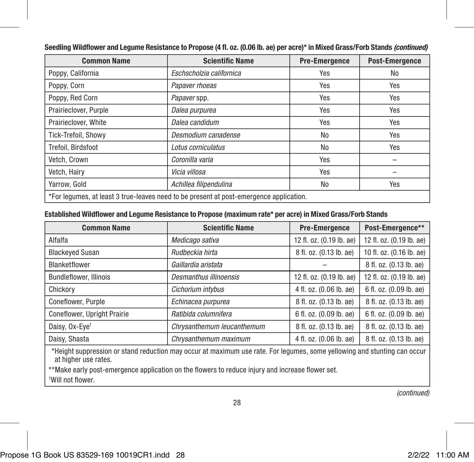| <b>Common Name</b>         | <b>Scientific Name</b>                                                                 | <b>Pre-Emergence</b> | <b>Post-Emergence</b> |
|----------------------------|----------------------------------------------------------------------------------------|----------------------|-----------------------|
| Poppy, California          | Eschscholzia californica                                                               | Yes                  | No                    |
| Poppy, Corn                | Papaver rhoeas                                                                         | Yes                  | Yes                   |
| Poppy, Red Corn            | Papaver spp.                                                                           | Yes                  | Yes                   |
| Prairieclover, Purple      | Dalea purpurea                                                                         | Yes                  | Yes                   |
| Prairieclover, White       | Dalea candidum                                                                         | Yes                  | Yes                   |
| <b>Tick-Trefoil, Showv</b> | Desmodium canadense                                                                    | No                   | Yes                   |
| Trefoil, Birdsfoot         | Lotus corniculatus                                                                     | No                   | Yes                   |
| Vetch, Crown               | Coronilla varia                                                                        | Yes                  |                       |
| Vetch, Hairv               | Vicia villosa                                                                          | Yes                  |                       |
| Yarrow, Gold               | Achillea filipendulina                                                                 | No                   | Yes                   |
|                            | *For legumes, at least 3 true-leaves need to be present at post-emergence application. |                      |                       |

Seedling Wildflower and Legume Resistance to Propose (4 fl. oz. (0.06 lb. ae) per acre)\* in Mixed Grass/Forb Stands *(continued)*

#### Established Wildflower and Legume Resistance to Propose (maximum rate\* per acre) in Mixed Grass/Forb Stands

| <b>Common Name</b>            | <b>Scientific Name</b>     | <b>Pre-Emergence</b>     | Post-Emergence**         |
|-------------------------------|----------------------------|--------------------------|--------------------------|
| Alfalfa                       | Medicago sativa            | 12 fl. oz. (0.19 lb. ae) | 12 fl. oz. (0.19 lb. ae) |
| <b>Blackeyed Susan</b>        | Rudbeckia hirta            | 8 fl. oz. (0.13 lb. ae)  | 10 fl. oz. (0.16 lb. ae) |
| Blanketflower                 | Gaillardia aristata        |                          | 8 fl. oz. (0.13 lb. ae)  |
| <b>Bundleflower, Illinois</b> | Desmanthus illinoensis     | 12 fl. oz. (0.19 lb. ae) | 12 fl. oz. (0.19 lb. ae) |
| Chickory                      | Cichorium intybus          | 4 fl. oz. (0.06 lb. ae)  | 6 fl. oz. (0.09 lb. ae)  |
| Coneflower, Purple            | Echinacea purpurea         | 8 fl. oz. (0.13 lb. ae)  | 8 fl. oz. (0.13 lb. ae)  |
| Coneflower, Upright Prairie   | Ratibida columnifera       | 6 fl. oz. (0.09 lb. ae)  | 6 fl. oz. (0.09 lb. ae)  |
| Daisy, Ox-Eye <sup>1</sup>    | Chrysanthemum leucanthemum | 8 fl. oz. (0.13 lb. ae)  | 8 fl. oz. (0.13 lb. ae)  |
| Daisy, Shasta                 | Chrysanthemum maximum      | 4 fl. oz. (0.06 lb. ae)  | 8 fl. oz. (0.13 lb. ae)  |

\*Height suppression or stand reduction may occur at maximum use rate. For legumes, some yellowing and stunting can occur at higher use rates.

\*\*Make early post-emergence application on the flowers to reduce injury and increase flower set. 1 Will not flower.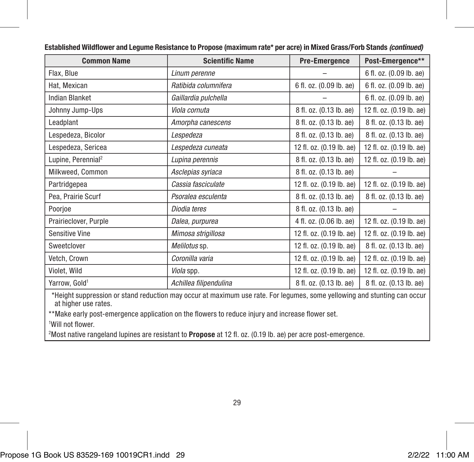| <b>Common Name</b>                                                                                                        | <b>Scientific Name</b> | <b>Pre-Emergence</b>     | Post-Emergence**         |  |
|---------------------------------------------------------------------------------------------------------------------------|------------------------|--------------------------|--------------------------|--|
| Flax, Blue                                                                                                                | Linum perenne          |                          | 6 fl. oz. (0.09 lb. ae)  |  |
| Hat, Mexican                                                                                                              | Ratibida columnifera   | 6 fl. oz. (0.09 lb. ae)  | 6 fl. oz. (0.09 lb. ae)  |  |
| <b>Indian Blanket</b>                                                                                                     | Gaillardia pulchella   |                          | 6 fl. oz. (0.09 lb. ae)  |  |
| Johnny Jump-Ups                                                                                                           | Viola cornuta          | 8 fl. oz. (0.13 lb. ae)  | 12 fl. oz. (0.19 lb. ae) |  |
| Leadplant                                                                                                                 | Amorpha canescens      | 8 fl. oz. (0.13 lb. ae)  | 8 fl. oz. (0.13 lb. ae)  |  |
| Lespedeza, Bicolor                                                                                                        | Lespedeza              | 8 fl. oz. (0.13 lb. ae)  | 8 fl. oz. (0.13 lb. ae)  |  |
| Lespedeza, Sericea                                                                                                        | Lespedeza cuneata      | 12 fl. oz. (0.19 lb. ae) | 12 fl. oz. (0.19 lb. ae) |  |
| Lupine, Perennial <sup>2</sup>                                                                                            | Lupina perennis        | 8 fl. oz. (0.13 lb. ae)  | 12 fl. oz. (0.19 lb. ae) |  |
| Milkweed, Common                                                                                                          | Asclepias syriaca      | 8 fl. oz. (0.13 lb. ae)  |                          |  |
| Partridgepea                                                                                                              | Cassia fasciculate     | 12 fl. oz. (0.19 lb. ae) | 12 fl. oz. (0.19 lb. ae) |  |
| Pea, Prairie Scurf                                                                                                        | Psoralea esculenta     | 8 fl. oz. (0.13 lb. ae)  | 8 fl. oz. (0.13 lb. ae)  |  |
| Poorjoe                                                                                                                   | Diodia teres           | 8 fl. oz. (0.13 lb. ae)  |                          |  |
| Prairieclover, Purple                                                                                                     | Dalea, purpurea        | 4 fl. oz. (0.06 lb. ae)  | 12 fl. oz. (0.19 lb. ae) |  |
| <b>Sensitive Vine</b>                                                                                                     | Mimosa strigillosa     | 12 fl. oz. (0.19 lb. ae) | 12 fl. oz. (0.19 lb. ae) |  |
| Sweetclover                                                                                                               | Melilotus sp.          | 12 fl. oz. (0.19 lb. ae) | 8 fl. oz. (0.13 lb. ae)  |  |
| Vetch, Crown                                                                                                              | Coronilla varia        | 12 fl. oz. (0.19 lb. ae) | 12 fl. oz. (0.19 lb. ae) |  |
| Violet, Wild                                                                                                              | Viola spp.             | 12 fl. oz. (0.19 lb. ae) | 12 fl. oz. (0.19 lb. ae) |  |
| Yarrow, Gold <sup>1</sup>                                                                                                 | Achillea filipendulina | 8 fl. oz. (0.13 lb. ae)  | 8 fl. oz. (0.13 lb. ae)  |  |
| theight cunnecesian as stand seduction may secure at maximum you sate. Fee logumes, come vallowing and otynting one occur |                        |                          |                          |  |

Established Wildflower and Legume Resistance to Propose (maximum rate\* per acre) in Mixed Grass/Forb Stands *(continued)*

\*Height suppression or stand reduction may occur at maximum use rate. For legumes, some yellowing and stunting can occur at higher use rates.

\*\*Make early post-emergence application on the flowers to reduce injury and increase flower set.

1 Will not flower.

<sup>2</sup>Most native rangeland lupines are resistant to Propose at 12 fl. oz. (0.19 lb. ae) per acre post-emergence.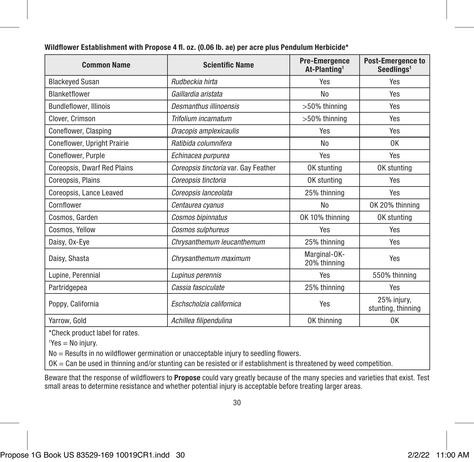| <b>Common Name</b>            | <b>Scientific Name</b>               | <b>Pre-Emergence</b><br>At-Planting <sup>1</sup> | <b>Post-Emergence to</b><br>Seedlings <sup>1</sup> |
|-------------------------------|--------------------------------------|--------------------------------------------------|----------------------------------------------------|
| <b>Blackeyed Susan</b>        | Rudbeckia hirta                      | Yes                                              | Yes                                                |
| Blanketflower                 | Gaillardia aristata                  | No                                               | Yes                                                |
| <b>Bundleflower, Illinois</b> | Desmanthus illinoensis               | >50% thinning                                    | Yes                                                |
| Clover, Crimson               | Trifolium incarnatum                 | >50% thinning                                    | Yes                                                |
| Coneflower, Clasping          | Dracopis amplexicaulis               | Yes                                              | Yes                                                |
| Coneflower, Upright Prairie   | Ratibida columnifera                 | No                                               | 0K                                                 |
| Coneflower, Purple            | Echinacea purpurea                   | Yes                                              | Yes                                                |
| Coreopsis, Dwarf Red Plains   | Coreopsis tinctoria var. Gay Feather | OK stunting                                      | OK stunting                                        |
| Coreopsis, Plains             | Coreopsis tinctoria                  | OK stunting                                      | Yes                                                |
| Coreopsis, Lance Leaved       | Coreopsis lanceolata                 | 25% thinning                                     | Yes                                                |
| Cornflower                    | Centaurea cyanus                     | No                                               | OK 20% thinning                                    |
| Cosmos, Garden                | Cosmos bipinnatus                    | OK 10% thinning                                  | OK stunting                                        |
| Cosmos, Yellow                | Cosmos sulphureus                    | Yes                                              | Yes                                                |
| Daisy, Ox-Eye                 | Chrysanthemum leucanthemum           | 25% thinning                                     | Yes                                                |
| Daisy, Shasta                 | Chrysanthemum maximum                | Marginal-OK-<br>20% thinning                     | Yes                                                |
| Lupine, Perennial             | Lupinus perennis                     | Yes                                              | 550% thinning                                      |
| Partridgepea                  | Cassia fasciculate                   | 25% thinning                                     | Yes                                                |
| Poppy, California             | Eschscholzia californica             | Yes                                              | 25% injury,<br>stunting, thinning                  |
| Yarrow, Gold                  | Achillea filipendulina               | OK thinning                                      | 0K                                                 |

Wildflower Establishment with Propose 4 fl. oz. (0.06 lb. ae) per acre plus Pendulum Herbicide\*

\*Check product label for rates.

 ${}^{1}$ Yes = No injury.

No = Results in no wildflower germination or unacceptable injury to seedling flowers.

OK = Can be used in thinning and/or stunting can be resisted or if establishment is threatened by weed competition.

Beware that the response of wildflowers to Propose could vary greatly because of the many species and varieties that exist. Test small areas to determine resistance and whether potential injury is acceptable before treating larger areas.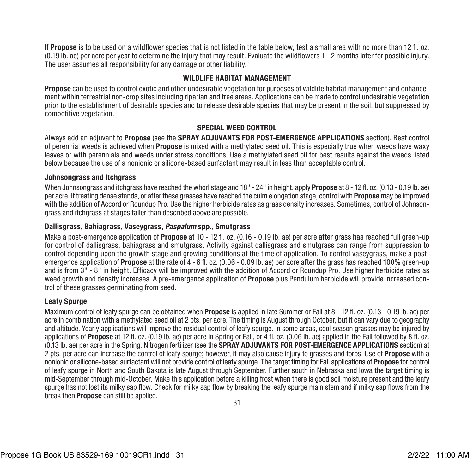If Propose is to be used on a wildflower species that is not listed in the table below, test a small area with no more than 12 fl. oz. (0.19 lb. ae) per acre per year to determine the injury that may result. Evaluate the wildflowers 1 - 2 months later for possible injury. The user assumes all responsibility for any damage or other liability.

#### WILDLIFE HARITAT MANAGEMENT

Propose can be used to control exotic and other undesirable vegetation for purposes of wildlife habitat management and enhancement within terrestrial non-crop sites including riparian and tree areas. Applications can be made to control undesirable vegetation prior to the establishment of desirable species and to release desirable species that may be present in the soil, but suppressed by competitive vegetation.

#### SPECIAL WEED CONTROL

Always add an adjuvant to Propose (see the SPRAY ADJUVANTS FOR POST-EMERGENCE APPLICATIONS section). Best control of perennial weeds is achieved when Propose is mixed with a methylated seed oil. This is especially true when weeds have waxy leaves or with perennials and weeds under stress conditions. Use a methylated seed oil for best results against the weeds listed below because the use of a nonionic or silicone-based surfactant may result in less than acceptable control.

#### Johnsongrass and Itchgrass

When Johnsongrass and itchgrass have reached the whorl stage and  $18"$  -  $24"$  in height, apply **Propose** at  $8$  -  $12$  fl. oz. (0.13 - 0.19 lb. ae) per acre. If treating dense stands, or after these grasses have reached the culm elongation stage, control with **Propose** may be improved with the addition of Accord or Roundup Pro. Use the higher herbicide rates as grass density increases. Sometimes, control of Johnsongrass and itchgrass at stages taller than described above are possible.

#### Dallisgrass, Bahiagrass, Vaseygrass, *Paspalum* spp., Smutgrass

Make a post-emergence application of **Propose** at 10 - 12 fl. oz. (0.16 - 0.19 lb. ae) per acre after grass has reached full green-up for control of dallisgrass, bahiagrass and smutgrass. Activity against dallisgrass and smutgrass can range from suppression to control depending upon the growth stage and growing conditions at the time of application. To control vaseygrass, make a postemergence application of Propose at the rate of 4 - 6 fl. oz. (0.06 - 0.09 lb. ae) per acre after the grass has reached 100% green-up and is from 3" - 8" in height. Efficacy will be improved with the addition of Accord or Roundup Pro. Use higher herbicide rates as weed growth and density increases. A pre-emergence application of **Propose** plus Pendulum herbicide will provide increased control of these grasses germinating from seed.

#### Leafy Spurge

Maximum control of leafy spurge can be obtained when **Propose** is applied in late Summer or Fall at 8 - 12 fl. oz. (0.13 - 0.19 lb. ae) per acre in combination with a methylated seed oil at 2 pts. per acre. The timing is August through October, but it can vary due to geography and altitude. Yearly applications will improve the residual control of leafy spurge. In some areas, cool season grasses may be injured by applications of Propose at 12 fl. oz. (0.19 lb. ae) per acre in Spring or Fall, or 4 fl. oz. (0.06 lb. ae) applied in the Fall followed by 8 fl. oz. (0.13 lb. ae) per acre in the Spring. Nitrogen fertilizer (see the SPRAY ADJUVANTS FOR POST-EMERGENCE APPLICATIONS section) at 2 pts. per acre can increase the control of leafy spurge; however, it may also cause injury to grasses and forbs. Use of **Propose** with a nonionic or silicone-based surfactant will not provide control of leafy spurge. The target timing for Fall applications of **Propose** for control of leafy spurge in North and South Dakota is late August through September. Further south in Nebraska and Iowa the target timing is mid-September through mid-October. Make this application before a killing frost when there is good soil moisture present and the leafy spurge has not lost its milky sap flow. Check for milky sap flow by breaking the leafy spurge main stem and if milky sap flows from the break then Propose can still be applied.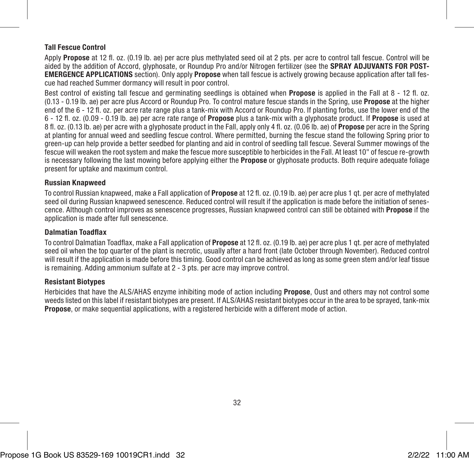#### Tall Fescue Control

Apply Propose at 12 fl. oz. (0.19 lb. ae) per acre plus methylated seed oil at 2 pts. per acre to control tall fescue. Control will be aided by the addition of Accord, glyphosate, or Roundup Pro and/or Nitrogen fertilizer (see the SPRAY ADJUVANTS FOR POST-EMERGENCE APPLICATIONS section). Only apply Propose when tall fescue is actively growing because application after tall fescue had reached Summer dormancy will result in poor control.

Best control of existing tall fescue and germinating seedlings is obtained when **Propose** is applied in the Fall at 8 - 12 fl. oz. (0.13 - 0.19 lb. ae) per acre plus Accord or Roundup Pro. To control mature fescue stands in the Spring, use Propose at the higher end of the 6 - 12 fl. oz. per acre rate range plus a tank-mix with Accord or Roundup Pro. If planting forbs, use the lower end of the 6 - 12 fl. oz. (0.09 - 0.19 lb. ae) per acre rate range of Propose plus a tank-mix with a glyphosate product. If Propose is used at 8 fl. oz. (0.13 lb. ae) per acre with a glyphosate product in the Fall, apply only 4 fl. oz. (0.06 lb. ae) of Propose per acre in the Spring at planting for annual weed and seedling fescue control. Where permitted, burning the fescue stand the following Spring prior to green-up can help provide a better seedbed for planting and aid in control of seedling tall fescue. Several Summer mowings of the fescue will weaken the root system and make the fescue more susceptible to herbicides in the Fall. At least 10" of fescue re-growth is necessary following the last mowing before applying either the **Propose** or glyphosate products. Both require adequate foliage present for uptake and maximum control.

#### Russian Knapweed

To control Russian knapweed, make a Fall application of **Propose** at 12 fl. oz. (0.19 lb. ae) per acre plus 1 gt. per acre of methylated seed oil during Russian knapweed senescence. Reduced control will result if the application is made before the initiation of senescence. Although control improves as senescence progresses, Russian knapweed control can still be obtained with Propose if the application is made after full senescence.

#### Dalmatian Toadflax

To control Dalmatian Toadflax, make a Fall application of **Propose** at 12 fl. oz. (0.19 lb. ae) per acre plus 1 gt. per acre of methylated seed oil when the top quarter of the plant is necrotic, usually after a hard front (late October through November). Reduced control will result if the application is made before this timing. Good control can be achieved as long as some green stem and/or leaf tissue is remaining. Adding ammonium sulfate at 2 - 3 pts. per acre may improve control.

#### Resistant Biotypes

Herbicides that have the ALS/AHAS enzyme inhibiting mode of action including **Propose**. Oust and others may not control some weeds listed on this label if resistant biotypes are present. If ALS/AHAS resistant biotypes occur in the area to be sprayed, tank-mix **Propose**, or make sequential applications, with a registered herbicide with a different mode of action.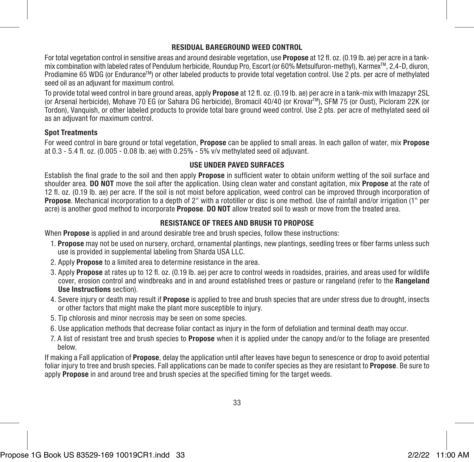#### RESIDUAL BAREGROUND WEED CONTROL

For total vegetation control in sensitive areas and around desirable vegetation, use Propose at 12 fl. oz. (0.19 lb. ae) per acre in a tankmix combination with labeled rates of Pendulum herbicide, Roundup Pro, Escort (or 60% Metsulfuron-methyl), KarmexTM, 2,4-D, diuron, Prodiamine 65 WDG (or Endurance<sup>TM</sup>) or other labeled products to provide total vegetation control. Use 2 pts. per acre of methylated seed oil as an adjuvant for maximum control.

To provide total weed control in bare ground areas, apply **Propose** at 12 fl. oz. (0.19 lb. ae) per acre in a tank-mix with Imazapyr 2SL (or Arsenal herbicide), Mohave 70 EG (or Sahara DG herbicide), Bromacil 40/40 (or KrovarTM), SFM 75 (or Oust), Picloram 22K (or Tordon), Vanquish, or other labeled products to provide total bare ground weed control. Use 2 pts. per acre of methylated seed oil as an adjuvant for maximum control.

#### Spot Treatments

For weed control in bare ground or total vegetation. Propose can be applied to small areas. In each gallon of water, mix Propose at 0.3 - 5.4 fl. oz. (0.005 - 0.08 lb. ae) with 0.25% - 5% v/v methylated seed oil adjuvant.

#### USE UNDER PAVED SURFACES

Establish the final grade to the soil and then apply **Propose** in sufficient water to obtain uniform wetting of the soil surface and shoulder area. **DO NOT** move the soil after the application. Using clean water and constant agitation, mix **Propose** at the rate of 12 fl. oz. (0.19 lb. ae) per acre. If the soil is not moist before application, weed control can be improved through incorporation of Propose. Mechanical incorporation to a depth of 2" with a rototiller or disc is one method. Use of rainfall and/or irrigation (1" per acre) is another good method to incorporate **Propose. DO NOT** allow treated soil to wash or move from the treated area.

#### RESISTANCE OF TREES AND BRUSH TO PROPOSE

When **Propose** is applied in and around desirable tree and brush species, follow these instructions:

- 1. Propose may not be used on nursery, orchard, ornamental plantings, new plantings, seedling trees or fiber farms unless such use is provided in supplemental labeling from Sharda USA LLC.
- 2. Apply Propose to a limited area to determine resistance in the area.
- 3. Apply Propose at rates up to 12 fl. oz. (0.19 lb. ae) per acre to control weeds in roadsides, prairies, and areas used for wildlife cover, erosion control and windbreaks and in and around established trees or pasture or rangeland (refer to the Rangeland Use Instructions section).
- 4. Severe injury or death may result if **Propose** is applied to tree and brush species that are under stress due to drought, insects or other factors that might make the plant more susceptible to injury.
- 5. Tip chlorosis and minor necrosis may be seen on some species.
- 6. Use application methods that decrease foliar contact as injury in the form of defoliation and terminal death may occur.
- 7. A list of resistant tree and brush species to **Propose** when it is applied under the canopy and/or to the foliage are presented below.

If making a Fall application of **Propose**, delay the application until after leaves have begun to senescence or drop to avoid potential foliar injury to tree and brush species. Fall applications can be made to conifer species as they are resistant to **Propose**. Be sure to apply Propose in and around tree and brush species at the specified timing for the target weeds.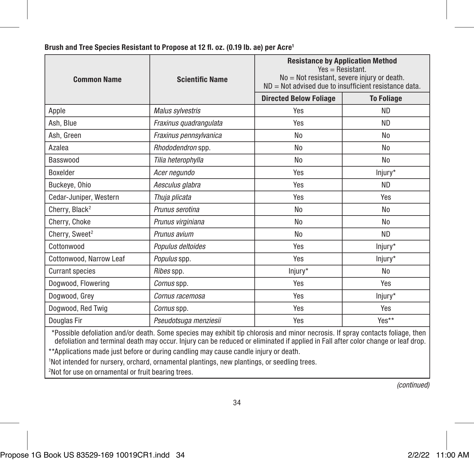| <b>Common Name</b>                                                                                                             | <b>Scientific Name</b> | <b>Resistance by Application Method</b><br>$Yes = Resistant$ .<br>No = Not resistant, severe injury or death.<br>$ND = Not$ advised due to insufficient resistance data. |                   |  |
|--------------------------------------------------------------------------------------------------------------------------------|------------------------|--------------------------------------------------------------------------------------------------------------------------------------------------------------------------|-------------------|--|
|                                                                                                                                |                        | <b>Directed Below Foliage</b>                                                                                                                                            | <b>To Foliage</b> |  |
| Apple                                                                                                                          | Malus sylvestris       | Yes                                                                                                                                                                      | <b>ND</b>         |  |
| Ash. Blue                                                                                                                      | Fraxinus quadrangulata | Yes                                                                                                                                                                      | <b>ND</b>         |  |
| Ash, Green                                                                                                                     | Fraxinus pennsylvanica | N <sub>0</sub>                                                                                                                                                           | No                |  |
| Azalea                                                                                                                         | Rhododendron spp.      | No                                                                                                                                                                       | No                |  |
| Basswood                                                                                                                       | Tilia heterophylla     | No                                                                                                                                                                       | No                |  |
| Boxelder                                                                                                                       | Acer negundo           | Yes                                                                                                                                                                      | Injury*           |  |
| Buckeye, Ohio                                                                                                                  | Aesculus glabra        | Yes                                                                                                                                                                      | <b>ND</b>         |  |
| Cedar-Juniper, Western                                                                                                         | Thuja plicata          | Yes                                                                                                                                                                      | Yes               |  |
| Cherry, Black <sup>2</sup>                                                                                                     | Prunus serotina        | No                                                                                                                                                                       | No                |  |
| Cherry, Choke                                                                                                                  | Prunus virginiana      | N <sub>0</sub>                                                                                                                                                           | No                |  |
| Cherry, Sweet <sup>2</sup>                                                                                                     | Prunus avium           | N <sub>o</sub>                                                                                                                                                           | <b>ND</b>         |  |
| Cottonwood                                                                                                                     | Populus deltoides      | Yes                                                                                                                                                                      | Injury*           |  |
| Cottonwood, Narrow Leaf                                                                                                        | Populus spp.           | Yes                                                                                                                                                                      | Iniury*           |  |
| <b>Currant species</b>                                                                                                         | Ribes spp.             | Injury*                                                                                                                                                                  | No                |  |
| Doawood, Flowering                                                                                                             | Comus spp.             | Yes                                                                                                                                                                      | Yes               |  |
| Dogwood, Grey                                                                                                                  | Comus racemosa         | Yes                                                                                                                                                                      | Injury*           |  |
| Dogwood, Red Twig                                                                                                              | Comus spp.             | Yes                                                                                                                                                                      | Yes               |  |
| Douglas Fir                                                                                                                    | Pseudotsuga menziesii  | Yes                                                                                                                                                                      | Yes**             |  |
| *Possible defoliation and/or death. Some species may exhibit tip chlorosis and minor necrosis. If spray contacts foliage, then |                        |                                                                                                                                                                          |                   |  |

#### Brush and Tree Species Resistant to Propose at 12 fl. oz. (0.19 lb. ae) per Acre1

\*Possible defoliation and/or death. Some species may exhibit tip chlorosis and minor necrosis. If spray contacts foliage, then<br>defoliation and terminal death may occur. Injury can be reduced or eliminated if applied in Fal \*\*Applications made just before or during candling may cause candle injury or death.

1 Not intended for nursery, orchard, ornamental plantings, new plantings, or seedling trees.

2 Not for use on ornamental or fruit bearing trees.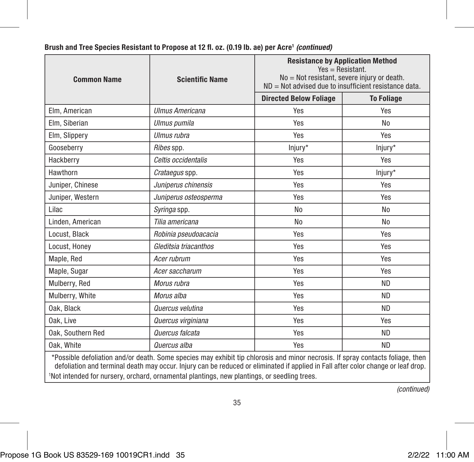| <b>Common Name</b>                                                                                                                                                                                                                                                                                                                                                 | <b>Scientific Name</b> | <b>Resistance by Application Method</b><br>$Yes = Resistant$ .<br>No = Not resistant, severe injury or death.<br>$ND = Not$ advised due to insufficient resistance data. |                   |  |
|--------------------------------------------------------------------------------------------------------------------------------------------------------------------------------------------------------------------------------------------------------------------------------------------------------------------------------------------------------------------|------------------------|--------------------------------------------------------------------------------------------------------------------------------------------------------------------------|-------------------|--|
|                                                                                                                                                                                                                                                                                                                                                                    |                        | <b>Directed Below Foliage</b>                                                                                                                                            | <b>To Foliage</b> |  |
| Elm. American                                                                                                                                                                                                                                                                                                                                                      | <b>Ulmus Americana</b> | Yes                                                                                                                                                                      | Yes               |  |
| Elm. Siberian                                                                                                                                                                                                                                                                                                                                                      | Ulmus pumila           | Yes                                                                                                                                                                      | No                |  |
| Elm, Slippery                                                                                                                                                                                                                                                                                                                                                      | Illmus ruhra           | Yes                                                                                                                                                                      | Yes               |  |
| Gooseberry                                                                                                                                                                                                                                                                                                                                                         | Ribes spp.             | Injury*                                                                                                                                                                  | Injury*           |  |
| Hackberry                                                                                                                                                                                                                                                                                                                                                          | Celtis occidentalis    | Yes                                                                                                                                                                      | Yes               |  |
| Hawthorn                                                                                                                                                                                                                                                                                                                                                           | Crataegus spp.         | Yes                                                                                                                                                                      | Injury*           |  |
| Juniper, Chinese                                                                                                                                                                                                                                                                                                                                                   | Juniperus chinensis    | Yes                                                                                                                                                                      | Yes               |  |
| Juniper, Western                                                                                                                                                                                                                                                                                                                                                   | Juniperus osteosperma  | Yes                                                                                                                                                                      | Yes               |  |
| Lilac                                                                                                                                                                                                                                                                                                                                                              | Syringa spp.           | No                                                                                                                                                                       | No                |  |
| Linden, American                                                                                                                                                                                                                                                                                                                                                   | Tilia americana        | No                                                                                                                                                                       | No                |  |
| Locust, Black                                                                                                                                                                                                                                                                                                                                                      | Robinia pseudoacacia   | Yes                                                                                                                                                                      | Yes               |  |
| Locust, Honey                                                                                                                                                                                                                                                                                                                                                      | Gleditsia triacanthos  | Yes                                                                                                                                                                      | Yes               |  |
| Maple, Red                                                                                                                                                                                                                                                                                                                                                         | Acer rubrum            | Yes                                                                                                                                                                      | Yes               |  |
| Maple, Sugar                                                                                                                                                                                                                                                                                                                                                       | Acer saccharum         | Yes                                                                                                                                                                      | Yes               |  |
| Mulberry, Red                                                                                                                                                                                                                                                                                                                                                      | Morus rubra            | Yes                                                                                                                                                                      | <b>ND</b>         |  |
| Mulberry, White                                                                                                                                                                                                                                                                                                                                                    | Morus alba             | Yes                                                                                                                                                                      | ND.               |  |
| Oak. Black                                                                                                                                                                                                                                                                                                                                                         | Quercus velutina       | Yes                                                                                                                                                                      | <b>ND</b>         |  |
| Oak. Live                                                                                                                                                                                                                                                                                                                                                          | Quercus virginiana     | Yes                                                                                                                                                                      | Yes               |  |
| Oak, Southern Red                                                                                                                                                                                                                                                                                                                                                  | Quercus falcata        | Yes                                                                                                                                                                      | <b>ND</b>         |  |
| Oak. White                                                                                                                                                                                                                                                                                                                                                         | Quercus alba           | Yes                                                                                                                                                                      | <b>ND</b>         |  |
| *Possible defoliation and/or death. Some species may exhibit tip chlorosis and minor necrosis. If spray contacts foliage, then<br>defoliation and terminal death may occur. Injury can be reduced or eliminated if applied in Fall after color change or leaf drop.<br>'Not intended for nursery, orchard, ornamental plantings, new plantings, or seedling trees. |                        |                                                                                                                                                                          |                   |  |

#### Brush and Tree Species Resistant to Propose at 12 fl. oz. (0.19 lb. ae) per Acre<sup>1</sup> (continued)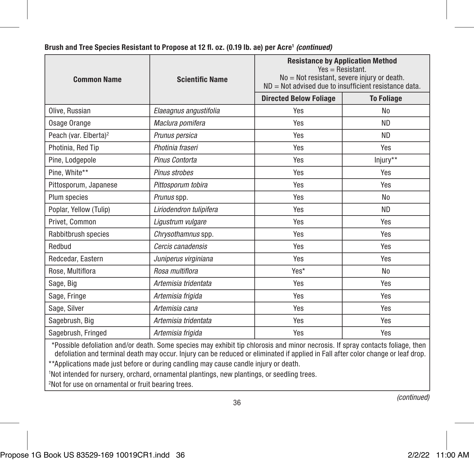| <b>Common Name</b>                | <b>Scientific Name</b>  | <b>Resistance by Application Method</b><br>$Yes = Resistant$ .<br>No = Not resistant, severe injury or death.<br>ND = Not advised due to insufficient resistance data. |                   |  |
|-----------------------------------|-------------------------|------------------------------------------------------------------------------------------------------------------------------------------------------------------------|-------------------|--|
|                                   |                         | <b>Directed Below Foliage</b>                                                                                                                                          | <b>To Foliage</b> |  |
| Olive, Russian                    | Elaeagnus angustifolia  | Yes                                                                                                                                                                    | No                |  |
| Osage Orange                      | Maclura pomifera        | Yes                                                                                                                                                                    | <b>ND</b>         |  |
| Peach (var. Elberta) <sup>2</sup> | Prunus persica          | Yes                                                                                                                                                                    | <b>ND</b>         |  |
| Photinia, Red Tip                 | Photinia fraseri        | Yes                                                                                                                                                                    | Yes               |  |
| Pine, Lodgepole                   | Pinus Contorta          | Yes                                                                                                                                                                    | Injury**          |  |
| Pine. White**                     | Pinus strobes           | Yes                                                                                                                                                                    | Yes               |  |
| Pittosporum, Japanese             | Pittosporum tobira      | Yes                                                                                                                                                                    | Yes               |  |
| Plum species                      | Prunus spp.             | Yes                                                                                                                                                                    | N <sub>0</sub>    |  |
| Poplar, Yellow (Tulip)            | Liriodendron tulipifera | Yes                                                                                                                                                                    | ND.               |  |
| Privet. Common                    | Ligustrum vulgare       | Yes                                                                                                                                                                    | Yes               |  |
| Rabbitbrush species               | Chrysothamnus spp.      | Yes                                                                                                                                                                    | Yes               |  |
| Redbud                            | Cercis canadensis       | Yes                                                                                                                                                                    | Yes               |  |
| Redcedar, Eastern                 | Juniperus virginiana    | Yes                                                                                                                                                                    | Yes               |  |
| Rose, Multiflora                  | Rosa multiflora         | Yes*                                                                                                                                                                   | N <sub>0</sub>    |  |
| Sage, Big                         | Artemisia tridentata    | Yes                                                                                                                                                                    | Yes               |  |
| Sage, Fringe                      | Artemisia frigida       | Yes                                                                                                                                                                    | Yes               |  |
| Sage, Silver                      | Artemisia cana          | Yes                                                                                                                                                                    | Yes               |  |
| Sagebrush, Big                    | Artemisia tridentata    | Yes                                                                                                                                                                    | Yes               |  |
| Sagebrush, Fringed                | Artemisia frigida       | Yes                                                                                                                                                                    | Yes               |  |

#### Brush and Tree Species Resistant to Propose at 12 fl. oz. (0.19 lb. ae) per Acre1 *(continued)*

\*Possible defoliation and/or death. Some species may exhibit tip chlorosis and minor necrosis. If spray contacts foliage, then defoliation and terminal death may occur. Injury can be reduced or eliminated if applied in Fall after color change or leaf drop.

36

\*\*Applications made just before or during candling may cause candle injury or death.

1 Not intended for nursery, orchard, ornamental plantings, new plantings, or seedling trees.

2 Not for use on ornamental or fruit bearing trees.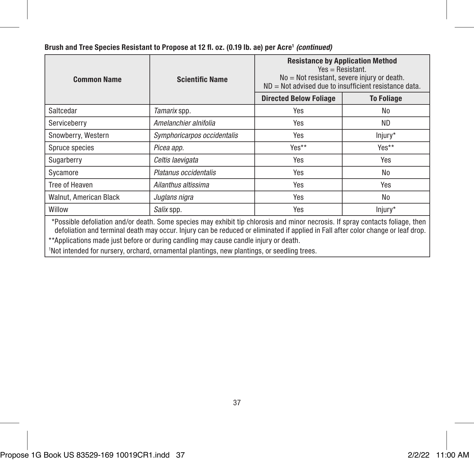| <b>Common Name</b>                                                                                                                                                                                                                                                                                                                                          | <b>Scientific Name</b>      | <b>Resistance by Application Method</b><br>$Yes = Resistant$ .<br>No = Not resistant, severe injury or death.<br>$ND = Not$ advised due to insufficient resistance data. |                   |
|-------------------------------------------------------------------------------------------------------------------------------------------------------------------------------------------------------------------------------------------------------------------------------------------------------------------------------------------------------------|-----------------------------|--------------------------------------------------------------------------------------------------------------------------------------------------------------------------|-------------------|
|                                                                                                                                                                                                                                                                                                                                                             |                             | <b>Directed Below Foliage</b>                                                                                                                                            | <b>To Foliage</b> |
| Saltcedar                                                                                                                                                                                                                                                                                                                                                   | Tamarix spp.                | Yes                                                                                                                                                                      | No                |
| Serviceberry                                                                                                                                                                                                                                                                                                                                                | Amelanchier alnifolia       | Yes                                                                                                                                                                      | ND.               |
| Snowberry, Western                                                                                                                                                                                                                                                                                                                                          | Symphoricarpos occidentalis | Yes                                                                                                                                                                      | Injury*           |
| Spruce species                                                                                                                                                                                                                                                                                                                                              | Picea app.                  | Yes**                                                                                                                                                                    | Yes**             |
| Sugarberry                                                                                                                                                                                                                                                                                                                                                  | Celtis laevigata            | Yes                                                                                                                                                                      | Yes               |
| Sycamore                                                                                                                                                                                                                                                                                                                                                    | Platanus occidentalis       | Yes                                                                                                                                                                      | No                |
| Tree of Heaven                                                                                                                                                                                                                                                                                                                                              | Ailanthus altissima         | Yes                                                                                                                                                                      | Yes               |
| Walnut, American Black                                                                                                                                                                                                                                                                                                                                      | Juglans nigra               | Yes                                                                                                                                                                      | No                |
| Willow                                                                                                                                                                                                                                                                                                                                                      | Salix spp.                  | Yes                                                                                                                                                                      | Injury*           |
| *Possible defoliation and/or death. Some species may exhibit tip chlorosis and minor necrosis. If spray contacts foliage, then<br>defoliation and terminal death may occur. Injury can be reduced or eliminated if applied in Fall after color change or leaf drop.<br>**Applications made just before or during candling may cause candle injury or death. |                             |                                                                                                                                                                          |                   |

#### Brush and Tree Species Resistant to Propose at 12 fl. oz. (0.19 lb. ae) per Acre<sup>1</sup> (continued)

\*\*Applications made just before or during candling may cause candle injury or death.<br>'Not intended for nursery, orchard, ornamental plantings, new plantings, or seedling trees.

Propose 1G Book US 83529-169 10019CR1.indd 37 2/2/22 11:00 AM

37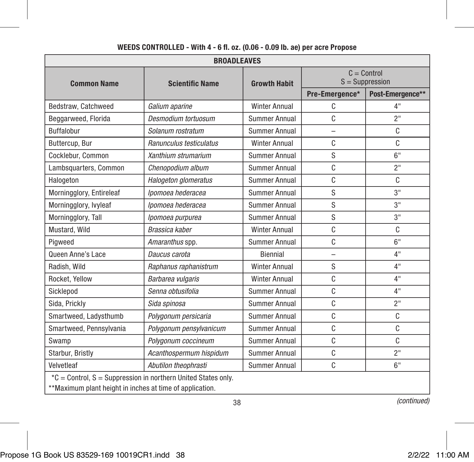| <b>BROADLEAVES</b>                                                                                                        |                         |                      |                                    |                  |
|---------------------------------------------------------------------------------------------------------------------------|-------------------------|----------------------|------------------------------------|------------------|
| <b>Common Name</b>                                                                                                        | <b>Scientific Name</b>  | <b>Growth Habit</b>  | $C =$ Control<br>$S =$ Suppression |                  |
|                                                                                                                           |                         |                      | Pre-Emergence*                     | Post-Emergence** |
| Bedstraw, Catchweed                                                                                                       | Galium aparine          | <b>Winter Annual</b> | C                                  | 4"               |
| Beggarweed, Florida                                                                                                       | Desmodium tortuosum     | Summer Annual        | C                                  | 2"               |
| <b>Buffalobur</b>                                                                                                         | Solanum rostratum       | Summer Annual        | $\overline{\phantom{0}}$           | C                |
| Buttercup, Bur                                                                                                            | Ranunculus testiculatus | <b>Winter Annual</b> | C                                  | C                |
| Cocklebur, Common                                                                                                         | Xanthium strumarium     | Summer Annual        | S                                  | 6"               |
| Lambsquarters, Common                                                                                                     | Chenopodium album       | Summer Annual        | C                                  | 2"               |
| Halogeton                                                                                                                 | Halogeton glomeratus    | Summer Annual        | C                                  | C                |
| Morningglory, Entireleaf                                                                                                  | Ipomoea hederacea       | Summer Annual        | S                                  | 3"               |
| Morningglory, Ivyleaf                                                                                                     | Ipomoea hederacea       | Summer Annual        | S                                  | 3"               |
| Morningglory, Tall                                                                                                        | Ipomoea purpurea        | Summer Annual        | S                                  | 3"               |
| Mustard, Wild                                                                                                             | Brassica kaber          | <b>Winter Annual</b> | C                                  | C                |
| Pigweed                                                                                                                   | Amaranthus spp.         | Summer Annual        | C                                  | 6"               |
| Queen Anne's Lace                                                                                                         | Daucus carota           | Biennial             |                                    | 4"               |
| Radish, Wild                                                                                                              | Raphanus raphanistrum   | <b>Winter Annual</b> | S                                  | 4"               |
| Rocket, Yellow                                                                                                            | Barbarea vulgaris       | <b>Winter Annual</b> | C                                  | 4"               |
| Sicklepod                                                                                                                 | Senna obtusifolia       | Summer Annual        | C                                  | 4"               |
| Sida, Prickly                                                                                                             | Sida spinosa            | Summer Annual        | C                                  | 2 <sup>11</sup>  |
| Smartweed, Ladysthumb                                                                                                     | Polygonum persicaria    | Summer Annual        | C                                  | C                |
| Smartweed, Pennsylvania                                                                                                   | Polygonum pensylvanicum | Summer Annual        | C                                  | C                |
| Swamp                                                                                                                     | Polygonum coccineum     | Summer Annual        | C                                  | C                |
| Starbur, Bristly                                                                                                          | Acanthospermum hispidum | Summer Annual        | C                                  | 2"               |
| Velvetleaf                                                                                                                | Abutilon theophrasti    | <b>Summer Annual</b> | C                                  | 6"               |
| *C = Control, S = Suppression in northern United States only.<br>**Maximum plant height in inches at time of application. |                         |                      |                                    |                  |

#### WEEDS CONTROLLED - With 4 - 6 fl. oz. (0.06 - 0.09 lb. ae) per acre Propose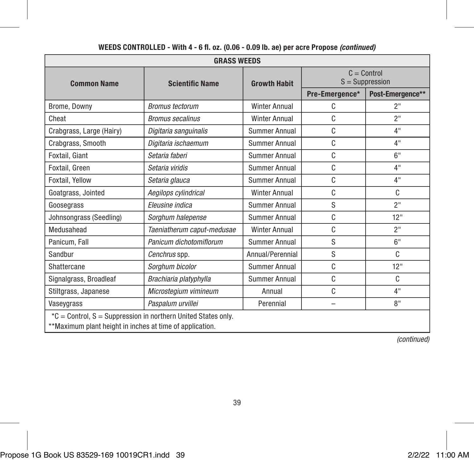| <b>GRASS WEEDS</b>                                                                                                        |                            |                      |                                    |                  |
|---------------------------------------------------------------------------------------------------------------------------|----------------------------|----------------------|------------------------------------|------------------|
| <b>Common Name</b>                                                                                                        | <b>Scientific Name</b>     | <b>Growth Habit</b>  | $C =$ Control<br>$S =$ Suppression |                  |
|                                                                                                                           |                            |                      | Pre-Emergence*                     | Post-Emergence** |
| Brome, Downy                                                                                                              | <b>Bromus tectorum</b>     | <b>Winter Annual</b> | C                                  | 2"               |
| Cheat                                                                                                                     | <b>Bromus secalinus</b>    | <b>Winter Annual</b> | C                                  | 2"               |
| Crabgrass, Large (Hairy)                                                                                                  | Digitaria sanguinalis      | Summer Annual        | C                                  | 4"               |
| Crabgrass, Smooth                                                                                                         | Digitaria ischaemum        | Summer Annual        | C                                  | 4"               |
| Foxtail, Giant                                                                                                            | Setaria faberi             | Summer Annual        | C                                  | 6"               |
| Foxtail, Green                                                                                                            | Setaria viridis            | Summer Annual        | C                                  | 4"               |
| Foxtail, Yellow                                                                                                           | Setaria glauca             | Summer Annual        | C                                  | 4"               |
| Goatgrass, Jointed                                                                                                        | Aegilops cylindrical       | <b>Winter Annual</b> | C                                  | C                |
| Goosegrass                                                                                                                | Eleusine indica            | Summer Annual        | S                                  | 2"               |
| Johnsongrass (Seedling)                                                                                                   | Sorghum halepense          | Summer Annual        | C                                  | 12"              |
| Medusahead                                                                                                                | Taeniatherum caput-medusae | <b>Winter Annual</b> | C                                  | 2"               |
| Panicum, Fall                                                                                                             | Panicum dichotomiflorum    | Summer Annual        | S                                  | 6"               |
| Sandbur                                                                                                                   | Cenchrus spp.              | Annual/Perennial     | S                                  | C                |
| Shattercane                                                                                                               | Sorghum bicolor            | Summer Annual        | C                                  | 12"              |
| Signalgrass, Broadleaf                                                                                                    | Brachiaria platyphylla     | Summer Annual        | C                                  | C                |
| Stiltgrass, Japanese                                                                                                      | Microstegium vimineum      | Annual               | C                                  | 4"               |
| Vaseygrass                                                                                                                | Paspalum urvillei          | Perennial            |                                    | 8"               |
| *C = Control, S = Suppression in northern United States only.<br>**Maximum plant height in inches at time of application. |                            |                      |                                    |                  |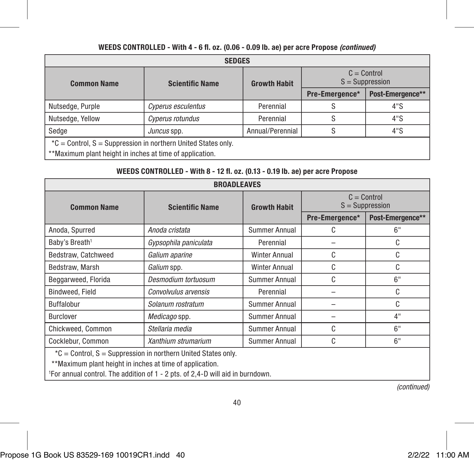| <b>SEDGES</b>                                                                                                               |                        |                     |                                    |                  |  |
|-----------------------------------------------------------------------------------------------------------------------------|------------------------|---------------------|------------------------------------|------------------|--|
| <b>Common Name</b>                                                                                                          | <b>Scientific Name</b> | <b>Growth Habit</b> | $C =$ Control<br>$S =$ Suppression |                  |  |
|                                                                                                                             |                        |                     | Pre-Emergence*                     | Post-Emergence** |  |
| Nutsedge, Purple                                                                                                            | Cyperus esculentus     | Perennial           |                                    | 4"S              |  |
| Nutsedge, Yellow                                                                                                            | Cyperus rotundus       | Perennial           |                                    | 4"S              |  |
| Sedae                                                                                                                       | Juncus spp.            | Annual/Perennial    | S                                  | 4"S              |  |
| *C = Control, $S =$ Suppression in northern United States only.<br>**Maximum plant height in inches at time of application. |                        |                     |                                    |                  |  |

#### WEEDS CONTROLLED - With 8 - 12 fl. oz. (0.13 - 0.19 lb. ae) per acre Propose

| <b>BROADLEAVES</b>                                            |                        |                      |                                    |                  |
|---------------------------------------------------------------|------------------------|----------------------|------------------------------------|------------------|
| <b>Common Name</b>                                            | <b>Scientific Name</b> | <b>Growth Habit</b>  | $C =$ Control<br>$S =$ Suppression |                  |
|                                                               |                        |                      | Pre-Emergence*                     | Post-Emergence** |
| Anoda, Spurred                                                | Anoda cristata         | Summer Annual        | C                                  | 6"               |
| Baby's Breath <sup>1</sup>                                    | Gypsophila paniculata  | Perennial            |                                    | C                |
| Bedstraw. Catchweed                                           | Galium aparine         | <b>Winter Annual</b> | C                                  | C                |
| Bedstraw. Marsh                                               | Galium spp.            | <b>Winter Annual</b> | C                                  | C                |
| Beggarweed, Florida                                           | Desmodium tortuosum    | Summer Annual        | C                                  | 6"               |
| Bindweed, Field                                               | Convolvulus arvensis   | Perennial            |                                    | C                |
| <b>Buffalobur</b>                                             | Solanum rostratum      | Summer Annual        |                                    | C                |
| <b>Burclover</b>                                              | Medicago spp.          | Summer Annual        |                                    | 4"               |
| Chickweed, Common                                             | Stellaria media        | Summer Annual        | C                                  | 6"               |
| Cocklebur, Common                                             | Xanthium strumarium    | Summer Annual        | C                                  | 6"               |
| *C = Control, S = Suppression in northern United States only. |                        |                      |                                    |                  |

\*\*Maximum plant height in inches at time of application.

1 For annual control. The addition of 1 - 2 pts. of 2,4-D will aid in burndown.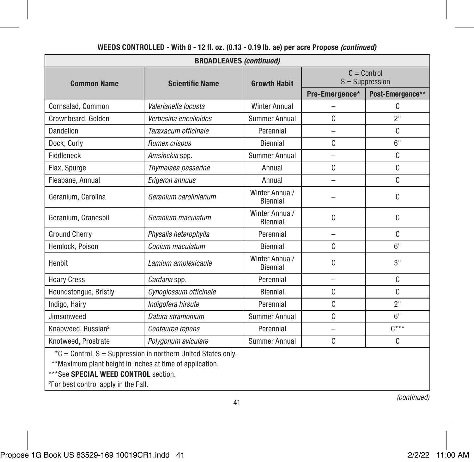| <b>BROADLEAVES (continued)</b>                                |                        |                            |                                    |                  |
|---------------------------------------------------------------|------------------------|----------------------------|------------------------------------|------------------|
| <b>Common Name</b>                                            | <b>Scientific Name</b> | <b>Growth Habit</b>        | $C =$ Control<br>$S =$ Suppression |                  |
|                                                               |                        |                            | Pre-Emergence*                     | Post-Emergence** |
| Cornsalad, Common                                             | Valerianella locusta   | <b>Winter Annual</b>       |                                    | C                |
| Crownbeard, Golden                                            | Verbesina encelioides  | Summer Annual              | C                                  | 2"               |
| Dandelion                                                     | Taraxacum officinale   | Perennial                  | −                                  | C                |
| Dock, Curly                                                   | Rumex crispus          | Biennial                   | C                                  | 6"               |
| Fiddleneck                                                    | Amsinckia spp.         | <b>Summer Annual</b>       | $\overline{\phantom{0}}$           | C                |
| Flax, Spurge                                                  | Thymelaea passerine    | Annual                     | C                                  | C                |
| Fleabane, Annual                                              | Erigeron annuus        | Annual                     | -                                  | C                |
| Geranium, Carolina                                            | Geranium carolinianum  | Winter Annual/<br>Biennial |                                    | C                |
| Geranium, Cranesbill                                          | Geranium maculatum     | Winter Annual/<br>Biennial | C                                  | C                |
| <b>Ground Cherry</b>                                          | Physalis heterophylla  | Perennial                  | $\overline{\phantom{0}}$           | C                |
| Hemlock, Poison                                               | Conium maculatum       | Biennial                   | C                                  | 6"               |
| Henbit                                                        | Lamium amplexicaule    | Winter Annual/<br>Biennial | C                                  | 3"               |
| <b>Hoary Cress</b>                                            | Cardaria spp.          | Perennial                  | -                                  | C                |
| Houndstongue, Bristly                                         | Cynoglossum officinale | Biennial                   | C                                  | C                |
| Indigo, Hairy                                                 | Indigofera hirsute     | Perennial                  | Ċ                                  | 2"               |
| Jimsonweed                                                    | Datura stramonium      | Summer Annual              | C                                  | 6"               |
| Knapweed, Russian <sup>2</sup>                                | Centaurea repens       | Perennial                  | -                                  | $C^{***}$        |
| Knotweed, Prostrate                                           | Polvaonum aviculare    | <b>Summer Annual</b>       | C                                  | C                |
| *C = Control, S = Suppression in northern United States only. |                        |                            |                                    |                  |

41

#### WEEDS CONTROLLED - With 8 - 12 fl. oz. (0.13 - 0.19 lb. ae) per acre Propose *(continued)*

\*\*Maximum plant height in inches at time of application.

\*\*\*See SPECIAL WEED CONTROL section.

2 For best control apply in the Fall.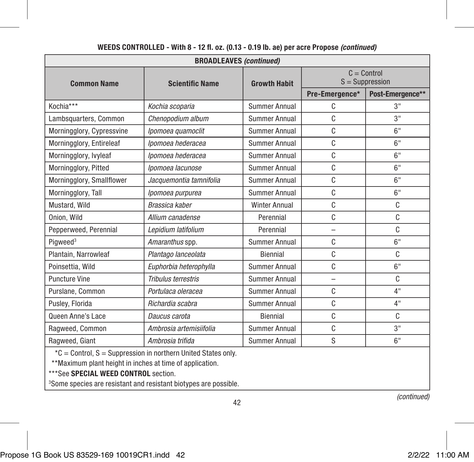| <b>BROADLEAVES (continued)</b> |                                                               |                      |                                    |                  |  |
|--------------------------------|---------------------------------------------------------------|----------------------|------------------------------------|------------------|--|
| <b>Common Name</b>             | <b>Scientific Name</b>                                        | <b>Growth Habit</b>  | $C =$ Control<br>$S =$ Suppression |                  |  |
|                                |                                                               |                      | Pre-Emergence*                     | Post-Emergence** |  |
| Kochia***                      | Kochia scoparia                                               | Summer Annual        | C                                  | 3"               |  |
| Lambsquarters, Common          | Chenopodium album                                             | Summer Annual        | C                                  | 3"               |  |
| Morningglory, Cypressvine      | Ipomoea quamoclit                                             | Summer Annual        | C                                  | 6"               |  |
| Morningglory, Entireleaf       | Ipomoea hederacea                                             | Summer Annual        | C                                  | 6"               |  |
| Morningglory, Ivyleaf          | Ipomoea hederacea                                             | Summer Annual        | C                                  | 6"               |  |
| Morningglory, Pitted           | Ipomoea lacunose                                              | Summer Annual        | C                                  | 6"               |  |
| Morningglory, Smallflower      | Jacquemontia tamnifolia                                       | Summer Annual        | C                                  | 6"               |  |
| Morningglory, Tall             | Ipomoea purpurea                                              | <b>Summer Annual</b> | C                                  | 6"               |  |
| Mustard, Wild                  | Brassica kaber                                                | <b>Winter Annual</b> | C                                  | C                |  |
| Onion, Wild                    | Allium canadense                                              | Perennial            | C                                  | C                |  |
| Pepperweed, Perennial          | Lepidium latifolium                                           | Perennial            | $\overline{a}$                     | C                |  |
| Piaweed <sup>3</sup>           | Amaranthus spp.                                               | Summer Annual        | C                                  | 6"               |  |
| Plantain, Narrowleaf           | Plantago lanceolata                                           | Biennial             | C                                  | C                |  |
| Poinsettia, Wild               | Euphorbia heterophylla                                        | Summer Annual        | C                                  | 6"               |  |
| <b>Puncture Vine</b>           | Tribulus terrestris                                           | Summer Annual        | $\overline{\phantom{0}}$           | C                |  |
| Purslane, Common               | Portulaca oleracea                                            | <b>Summer Annual</b> | C                                  | 4"               |  |
| Pusley, Florida                | Richardia scabra                                              | Summer Annual        | C                                  | 4"               |  |
| Queen Anne's Lace              | Daucus carota                                                 | Biennial             | C                                  | C                |  |
| Ragweed, Common                | Ambrosia artemisiifolia                                       | <b>Summer Annual</b> | C                                  | 3"               |  |
| Ragweed, Giant                 | Ambrosia trifida                                              | Summer Annual        | S                                  | 6"               |  |
|                                | *C = Control, S = Suppression in northern United States only. |                      |                                    |                  |  |

42

#### WEEDS CONTROLLED - With 8 - 12 fl. oz. (0.13 - 0.19 lb. ae) per acre Propose *(continued)*

\*\*Maximum plant height in inches at time of application.

\*\*\*See SPECIAL WEED CONTROL section.

3 Some species are resistant and resistant biotypes are possible.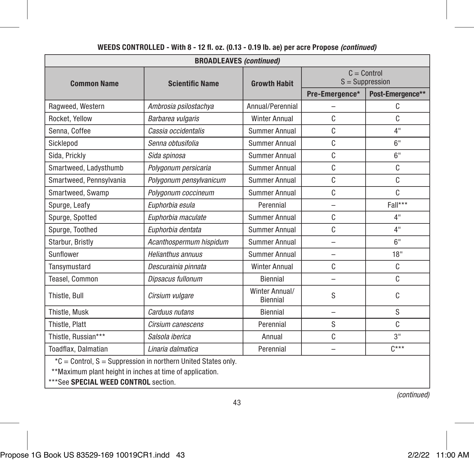| <b>BROADLEAVES (continued)</b>                                                                                            |                         |                            |                                    |                  |
|---------------------------------------------------------------------------------------------------------------------------|-------------------------|----------------------------|------------------------------------|------------------|
| <b>Common Name</b>                                                                                                        | <b>Scientific Name</b>  | <b>Growth Habit</b>        | $C =$ Control<br>$S =$ Suppression |                  |
|                                                                                                                           |                         |                            | Pre-Emergence*                     | Post-Emergence** |
| Ragweed, Western                                                                                                          | Ambrosia psilostachya   | Annual/Perennial           |                                    | C                |
| Rocket, Yellow                                                                                                            | Barbarea vulgaris       | <b>Winter Annual</b>       | C                                  | C                |
| Senna, Coffee                                                                                                             | Cassia occidentalis     | Summer Annual              | C                                  | 4"               |
| Sicklepod                                                                                                                 | Senna obtusifolia       | Summer Annual              | C                                  | 6"               |
| Sida, Prickly                                                                                                             | Sida spinosa            | Summer Annual              | C                                  | 6"               |
| Smartweed, Ladysthumb                                                                                                     | Polygonum persicaria    | Summer Annual              | C                                  | C                |
| Smartweed, Pennsylvania                                                                                                   | Polygonum pensylvanicum | <b>Summer Annual</b>       | C                                  | C                |
| Smartweed, Swamp                                                                                                          | Polygonum coccineum     | <b>Summer Annual</b>       | C                                  | C                |
| Spurge, Leafy                                                                                                             | Euphorbia esula         | Perennial                  | $\overline{\phantom{0}}$           | Fall***          |
| Spurge, Spotted                                                                                                           | Euphorbia maculate      | Summer Annual              | C                                  | 4"               |
| Spurge, Toothed                                                                                                           | Euphorbia dentata       | Summer Annual              | C                                  | 4"               |
| Starbur, Bristly                                                                                                          | Acanthospermum hispidum | Summer Annual              | $\overline{\phantom{0}}$           | 6"               |
| Sunflower                                                                                                                 | Helianthus annuus       | Summer Annual              | -                                  | 18"              |
| Tansymustard                                                                                                              | Descurainia pinnata     | <b>Winter Annual</b>       | C                                  | C                |
| Teasel, Common                                                                                                            | Dipsacus fullonum       | Biennial                   | $\equiv$                           | C                |
| Thistle, Bull                                                                                                             | Cirsium vulgare         | Winter Annual/<br>Biennial | S                                  | C                |
| Thistle, Musk                                                                                                             | Carduus nutans          | Biennial                   | $\overline{\phantom{0}}$           | S                |
| Thistle, Platt                                                                                                            | Cirsium canescens       | Perennial                  | S                                  | C                |
| Thistle. Russian***                                                                                                       | Salsola iberica         | Annual                     | C                                  | 3"               |
| Toadflax, Dalmatian                                                                                                       | Linaria dalmatica       | Perennial                  |                                    | $C***$           |
| *C = Control, S = Suppression in northern United States only.<br>**Maximum plant height in inches at time of application. |                         |                            |                                    |                  |

\*\*Maximum plant height in inches at time of application.

\*\*\*See SPECIAL WEED CONTROL section.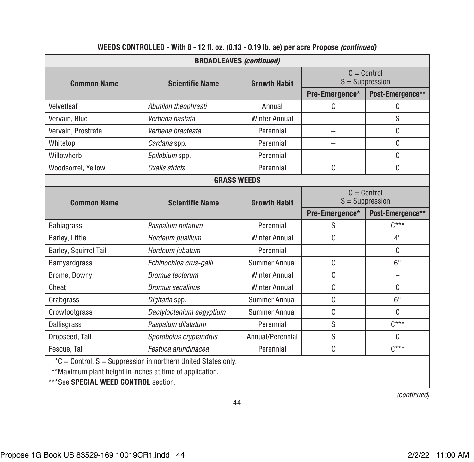| <b>BROADLEAVES (continued)</b>                                                                                            |                          |                      |                                    |                  |
|---------------------------------------------------------------------------------------------------------------------------|--------------------------|----------------------|------------------------------------|------------------|
| <b>Common Name</b>                                                                                                        | <b>Scientific Name</b>   | <b>Growth Habit</b>  | $C =$ Control<br>$S =$ Suppression |                  |
|                                                                                                                           |                          |                      | Pre-Emergence*                     | Post-Emergence** |
| Velvetleaf                                                                                                                | Abutilon theophrasti     | Annual               | C                                  | C                |
| Vervain, Blue                                                                                                             | Verbena hastata          | <b>Winter Annual</b> | -                                  | S                |
| Vervain, Prostrate                                                                                                        | Verbena bracteata        | Perennial            | -                                  | C                |
| Whitetop                                                                                                                  | Cardaria spp.            | Perennial            |                                    | C                |
| Willowherb                                                                                                                | Epilobium spp.           | Perennial            |                                    | C                |
| Woodsorrel, Yellow                                                                                                        | Oxalis stricta           | Perennial            | C                                  | C                |
|                                                                                                                           | <b>GRASS WEEDS</b>       |                      |                                    |                  |
| <b>Common Name</b>                                                                                                        | <b>Scientific Name</b>   | <b>Growth Habit</b>  | $C =$ Control<br>$S =$ Suppression |                  |
|                                                                                                                           |                          |                      | Pre-Emergence*                     | Post-Emergence** |
| <b>Bahiagrass</b>                                                                                                         | Paspalum notatum         | Perennial            | S                                  | $C***$           |
| Barley, Little                                                                                                            | Hordeum pusillum         | <b>Winter Annual</b> | C                                  | 4"               |
| Barley, Squirrel Tail                                                                                                     | Hordeum jubatum          | Perennial            | L,                                 | C                |
| Barnyardgrass                                                                                                             | Echinochloa crus-galli   | Summer Annual        | C                                  | 6"               |
| Brome, Downy                                                                                                              | <b>Bromus tectorum</b>   | <b>Winter Annual</b> | C                                  | $\overline{a}$   |
| Cheat                                                                                                                     | <b>Bromus secalinus</b>  | <b>Winter Annual</b> | C                                  | C                |
| Crabgrass                                                                                                                 | Digitaria spp.           | Summer Annual        | C                                  | 6"               |
| Crowfootgrass                                                                                                             | Dactyloctenium aegyptium | Summer Annual        | C                                  | C.               |
| <b>Dallisgrass</b>                                                                                                        | Paspalum dilatatum       | Perennial            | S                                  | $C***$           |
| Dropseed, Tall                                                                                                            | Sporobolus cryptandrus   | Annual/Perennial     | S                                  | C                |
| Fescue, Tall                                                                                                              | Festuca arundinacea      | Perennial            | C                                  | $C***$           |
| *C = Control, S = Suppression in northern United States only.<br>**Maximum plant height in inches at time of application. |                          |                      |                                    |                  |

\*\*\*See SPECIAL WEED CONTROL section.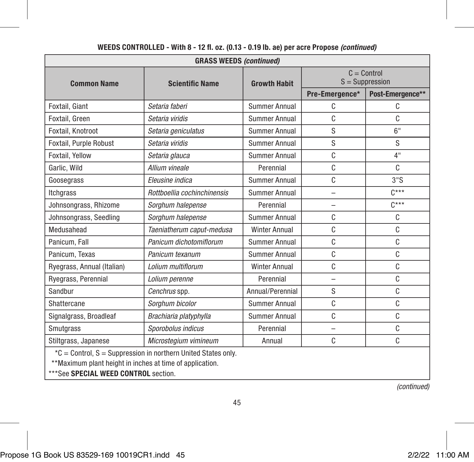| <b>GRASS WEEDS (continued)</b>                                |                             |                      |                                    |                  |
|---------------------------------------------------------------|-----------------------------|----------------------|------------------------------------|------------------|
| <b>Common Name</b>                                            | <b>Scientific Name</b>      | <b>Growth Habit</b>  | $C =$ Control<br>$S =$ Suppression |                  |
|                                                               |                             |                      | Pre-Emergence*                     | Post-Emergence** |
| Foxtail, Giant                                                | Setaria faberi              | Summer Annual        | C                                  | C                |
| Foxtail, Green                                                | Setaria viridis             | Summer Annual        | C                                  | C                |
| Foxtail, Knotroot                                             | Setaria geniculatus         | <b>Summer Annual</b> | S                                  | 6"               |
| Foxtail, Purple Robust                                        | Setaria viridis             | Summer Annual        | S                                  | S                |
| Foxtail, Yellow                                               | Setaria glauca              | Summer Annual        | C                                  | 4"               |
| Garlic, Wild                                                  | Allium vineale              | Perennial            | C                                  | C                |
| Goosegrass                                                    | Eleusine indica             | <b>Summer Annual</b> | C                                  | 3"S              |
| Itcharass                                                     | Rottboellia cochinchinensis | Summer Annual        | $\overline{\phantom{0}}$           | $C***$           |
| Johnsongrass, Rhizome                                         | Sorghum halepense           | Perennial            | -                                  | $C***$           |
| Johnsongrass, Seedling                                        | Sorghum halepense           | Summer Annual        | C                                  | C                |
| Medusahead                                                    | Taeniatherum caput-medusa   | <b>Winter Annual</b> | C                                  | C                |
| Panicum, Fall                                                 | Panicum dichotomiflorum     | Summer Annual        | C                                  | C                |
| Panicum. Texas                                                | Panicum texanum             | Summer Annual        | C                                  | C                |
| Ryegrass, Annual (Italian)                                    | Lolium multiflorum          | <b>Winter Annual</b> | C                                  | C                |
| Ryegrass, Perennial                                           | Lolium perenne              | Perennial            | $\overline{\phantom{0}}$           | C                |
| Sandbur                                                       | Cenchrus spp.               | Annual/Perennial     | S                                  | C                |
| Shattercane                                                   | Sorghum bicolor             | Summer Annual        | C                                  | C                |
| Signalgrass, Broadleaf                                        | Brachiaria platyphylla      | <b>Summer Annual</b> | C                                  | C                |
| Smutgrass                                                     | Sporobolus indicus          | Perennial            | $\overline{\phantom{0}}$           | C                |
| Stiltgrass, Japanese                                          | Microstegium vimineum       | Annual               | C                                  | C                |
| *C = Control, S = Suppression in northern United States only. |                             |                      |                                    |                  |

\*\*Maximum plant height in inches at time of application.

\*\*\*See SPECIAL WEED CONTROL section.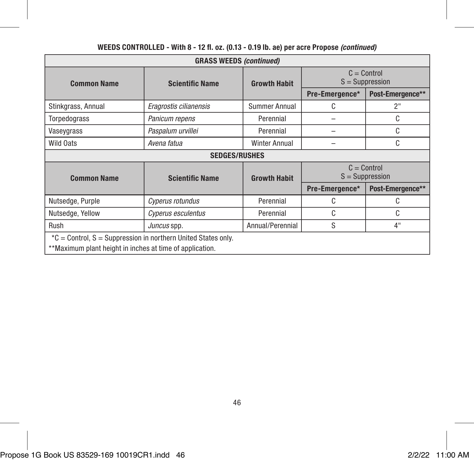| <b>GRASS WEEDS (continued)</b>                                                                                            |                        |                      |                                    |                                    |
|---------------------------------------------------------------------------------------------------------------------------|------------------------|----------------------|------------------------------------|------------------------------------|
| <b>Common Name</b>                                                                                                        | <b>Scientific Name</b> | <b>Growth Habit</b>  | $C =$ Control<br>$S =$ Suppression |                                    |
|                                                                                                                           |                        |                      | Pre-Emergence*                     | Post-Emergence**                   |
| Stinkgrass, Annual                                                                                                        | Eragrostis cilianensis | Summer Annual        | C                                  | 2"                                 |
| Torpedograss                                                                                                              | Panicum repens         | Perennial            |                                    | C                                  |
| Vaseygrass                                                                                                                | Paspalum urvillei      | Perennial            |                                    | C                                  |
| Wild Oats                                                                                                                 | Avena fatua            | <b>Winter Annual</b> |                                    | C                                  |
|                                                                                                                           | <b>SEDGES/RUSHES</b>   |                      |                                    |                                    |
| <b>Common Name</b>                                                                                                        | <b>Scientific Name</b> | <b>Growth Habit</b>  |                                    | $C =$ Control<br>$S =$ Suppression |
|                                                                                                                           |                        |                      | Pre-Emergence*                     | Post-Emergence**                   |
| Nutsedge, Purple                                                                                                          | Cyperus rotundus       | Perennial            | C                                  | C                                  |
| Nutsedge, Yellow                                                                                                          | Cyperus esculentus     | Perennial            | C                                  | C                                  |
| Rush                                                                                                                      | Juncus spp.            | Annual/Perennial     | S                                  | 4"                                 |
| *C = Control, S = Suppression in northern United States only.<br>**Maximum plant height in inches at time of application. |                        |                      |                                    |                                    |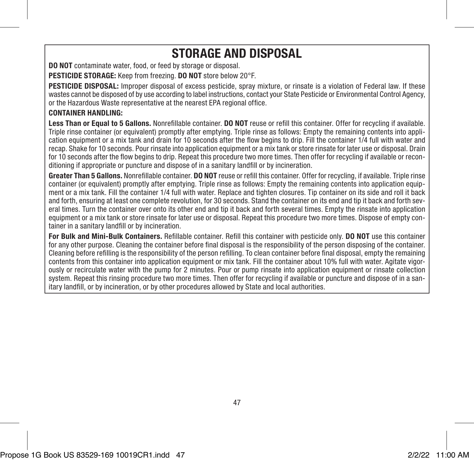## STORAGE AND DISPOSAL

DO NOT contaminate water, food, or feed by storage or disposal.

PESTICIDE STORAGE: Keep from freezing. DO NOT store below 20°F.

PESTICIDE DISPOSAL: Improper disposal of excess pesticide, spray mixture, or rinsate is a violation of Federal law. If these wastes cannot be disposed of by use according to label instructions, contact your State Pesticide or Environmental Control Agency, or the Hazardous Waste representative at the nearest EPA regional office.

#### CONTAINER HANDLING:

Less Than or Equal to 5 Gallons. Nonrefillable container. DO NOT reuse or refill this container. Offer for recycling if available. Triple rinse container (or equivalent) promptly after emptying. Triple rinse as follows: Empty the remaining contents into application equipment or a mix tank and drain for 10 seconds after the flow begins to drip. Fill the container 1/4 full with water and recap. Shake for 10 seconds. Pour rinsate into application equipment or a mix tank or store rinsate for later use or disposal. Drain for 10 seconds after the flow begins to drip. Repeat this procedure two more times. Then offer for recycling if available or reconditioning if appropriate or puncture and dispose of in a sanitary landfill or by incineration.

Greater Than 5 Gallons. Nonrefillable container. DO NOT reuse or refill this container. Offer for recycling, if available. Triple rinse container (or equivalent) promptly after emptying. Triple rinse as follows: Empty the remaining contents into application equipment or a mix tank. Fill the container 1/4 full with water. Replace and tighten closures. Tip container on its side and roll it back and forth, ensuring at least one complete revolution, for 30 seconds. Stand the container on its end and tip it back and forth several times. Turn the container over onto its other end and tip it back and forth several times. Empty the rinsate into application equipment or a mix tank or store rinsate for later use or disposal. Repeat this procedure two more times. Dispose of empty container in a sanitary landfill or by incineration.

For Bulk and Mini-Bulk Containers. Refillable container. Refill this container with pesticide only. DO NOT use this container for any other purpose. Cleaning the container before final disposal is the responsibility of the person disposing of the container. Cleaning before refilling is the responsibility of the person refilling. To clean container before final disposal, empty the remaining contents from this container into application equipment or mix tank. Fill the container about 10% full with water. Agitate vigorously or recirculate water with the pump for 2 minutes. Pour or pump rinsate into application equipment or rinsate collection system. Repeat this rinsing procedure two more times. Then offer for recycling if available or puncture and dispose of in a sanitary landfill, or by incineration, or by other procedures allowed by State and local authorities.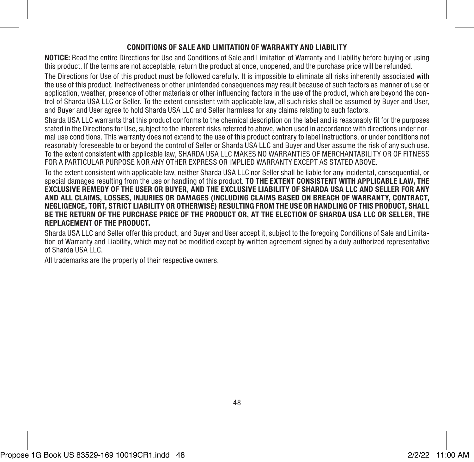#### CONDITIONS OF SALE AND LIMITATION OF WARRANTY AND LIABILITY

NOTICE: Read the entire Directions for Use and Conditions of Sale and Limitation of Warranty and Liability before buying or using this product. If the terms are not acceptable, return the product at once, unopened, and the purchase price will be refunded.

The Directions for Use of this product must be followed carefully. It is impossible to eliminate all risks inherently associated with the use of this product. Ineffectiveness or other unintended consequences may result because of such factors as manner of use or application, weather, presence of other materials or other influencing factors in the use of the product, which are beyond the control of Sharda USA LLC or Seller. To the extent consistent with applicable law, all such risks shall be assumed by Buyer and User, and Buyer and User agree to hold Sharda USA LLC and Seller harmless for any claims relating to such factors.

Sharda USA LLC warrants that this product conforms to the chemical description on the label and is reasonably fit for the purposes stated in the Directions for Use, subject to the inherent risks referred to above, when used in accordance with directions under normal use conditions. This warranty does not extend to the use of this product contrary to label instructions, or under conditions not reasonably foreseeable to or beyond the control of Seller or Sharda USA LLC and Buyer and User assume the risk of any such use. To the extent consistent with applicable law, SHARDA USA LLC MAKES NO WARRANTIES OF MERCHANTABILITY OR OF FITNESS FOR A PARTICULAR PURPOSE NOR ANY OTHER EXPRESS OR IMPLIED WARRANTY EXCEPT AS STATED ABOVE.

To the extent consistent with applicable law, neither Sharda USA LLC nor Seller shall be liable for any incidental, consequential, or special damages resulting from the use or handling of this product. TO THE EXTENT CONSISTENT WITH APPLICABLE LAW, THE EXCLUSIVE REMEDY OF THE USER OR BUYER, AND THE EXCLUSIVE LIABILITY OF SHARDA USA LLC AND SELLER FOR ANY AND ALL CLAIMS, LOSSES, INJURIES OR DAMAGES (INCLUDING CLAIMS BASED ON BREACH OF WARRANTY, CONTRACT, NEGLIGENCE, TORT, STRICT LIABILITY OR OTHERWISE) RESULTING FROM THE USE OR HANDLING OF THIS PRODUCT, SHALL BE THE RETURN OF THE PURCHASE PRICE OF THE PRODUCT OR, AT THE ELECTION OF SHARDA USA LLC OR SELLER, THE REPLACEMENT OF THE PRODUCT.

Sharda USA LLC and Seller offer this product, and Buyer and User accept it, subject to the foregoing Conditions of Sale and Limitation of Warranty and Liability, which may not be modified except by written agreement signed by a duly authorized representative of Sharda USA LLC.

All trademarks are the property of their respective owners.